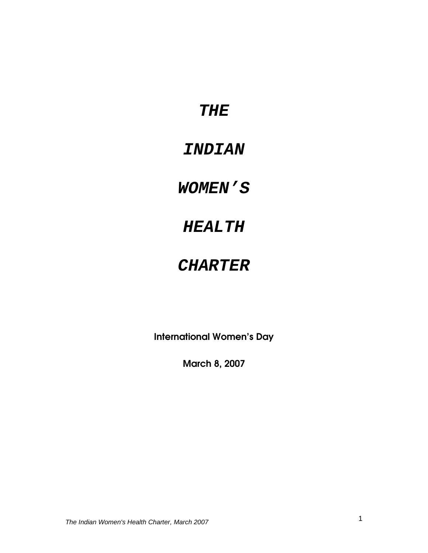## **THE**

# **INDIAN**

# **WOMEN'S**

# **HEALTH**

# **CHARTER**

International Women's Day

March 8, 2007

The Indian Women's Health Charter, March 2007 1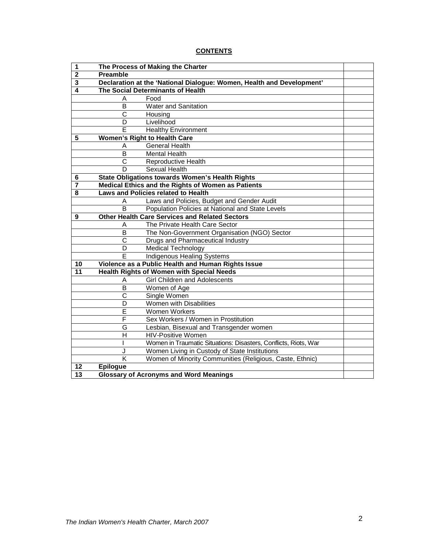## **CONTENTS**

| 1                       |                                   | The Process of Making the Charter                                     |  |  |  |
|-------------------------|-----------------------------------|-----------------------------------------------------------------------|--|--|--|
| $\overline{\mathbf{2}}$ | Preamble                          |                                                                       |  |  |  |
| 3                       |                                   | Declaration at the 'National Dialogue: Women, Health and Development' |  |  |  |
| $\overline{\mathbf{4}}$ | The Social Determinants of Health |                                                                       |  |  |  |
|                         | A                                 | Food                                                                  |  |  |  |
|                         | B                                 | <b>Water and Sanitation</b>                                           |  |  |  |
|                         | C                                 | Housing                                                               |  |  |  |
|                         | D                                 | Livelihood                                                            |  |  |  |
|                         | E                                 | <b>Healthy Environment</b>                                            |  |  |  |
| 5                       |                                   | <b>Women's Right to Health Care</b>                                   |  |  |  |
|                         | Α                                 | <b>General Health</b>                                                 |  |  |  |
|                         | B                                 | <b>Mental Health</b>                                                  |  |  |  |
|                         | C                                 | Reproductive Health                                                   |  |  |  |
|                         | D                                 | <b>Sexual Health</b>                                                  |  |  |  |
| 6                       |                                   | <b>State Obligations towards Women's Health Rights</b>                |  |  |  |
| $\overline{7}$          |                                   | Medical Ethics and the Rights of Women as Patients                    |  |  |  |
| 8                       |                                   | Laws and Policies related to Health                                   |  |  |  |
|                         | A                                 | Laws and Policies, Budget and Gender Audit                            |  |  |  |
|                         | B                                 | Population Policies at National and State Levels                      |  |  |  |
| 9                       |                                   | <b>Other Health Care Services and Related Sectors</b>                 |  |  |  |
|                         | A                                 | The Private Health Care Sector                                        |  |  |  |
|                         | В                                 | The Non-Government Organisation (NGO) Sector                          |  |  |  |
|                         | $\mathsf{C}$                      | Drugs and Pharmaceutical Industry                                     |  |  |  |
|                         | D                                 | <b>Medical Technology</b>                                             |  |  |  |
|                         | Е                                 | <b>Indigenous Healing Systems</b>                                     |  |  |  |
| 10                      |                                   | Violence as a Public Health and Human Rights Issue                    |  |  |  |
| 11                      |                                   | <b>Health Rights of Women with Special Needs</b>                      |  |  |  |
|                         | Α                                 | <b>Girl Children and Adolescents</b>                                  |  |  |  |
|                         | B                                 | Women of Age                                                          |  |  |  |
|                         | $\overline{\text{c}}$             | Single Women                                                          |  |  |  |
|                         | D                                 | Women with Disabilities                                               |  |  |  |
|                         | E                                 | <b>Women Workers</b>                                                  |  |  |  |
|                         | F                                 | Sex Workers / Women in Prostitution                                   |  |  |  |
|                         | G                                 | Lesbian, Bisexual and Transgender women                               |  |  |  |
|                         | $\overline{H}$                    | <b>HIV-Positive Women</b>                                             |  |  |  |
|                         |                                   | Women in Traumatic Situations: Disasters, Conflicts, Riots, War       |  |  |  |
|                         | J                                 | Women Living in Custody of State Institutions                         |  |  |  |
|                         | K                                 | Women of Minority Communities (Religious, Caste, Ethnic)              |  |  |  |
| 12                      | <b>Epilogue</b>                   |                                                                       |  |  |  |
| $\overline{13}$         |                                   | <b>Glossary of Acronyms and Word Meanings</b>                         |  |  |  |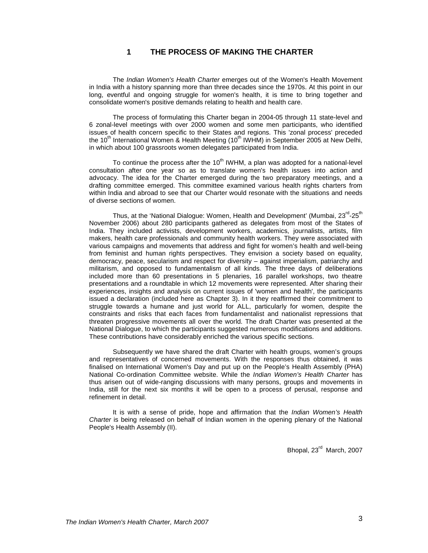## **1 THE PROCESS OF MAKING THE CHARTER**

The Indian Women's Health Charter emerges out of the Women's Health Movement in India with a history spanning more than three decades since the 1970s. At this point in our long, eventful and ongoing struggle for women's health, it is time to bring together and consolidate women's positive demands relating to health and health care.

The process of formulating this Charter began in 2004-05 through 11 state-level and 6 zonal-level meetings with over 2000 women and some men participants, who identified issues of health concern specific to their States and regions. This 'zonal process' preceded the 10<sup>th</sup> International Women & Health Meeting (10<sup>th</sup> IWHM) in September 2005 at New Delhi, in which about 100 grassroots women delegates participated from India.

To continue the process after the  $10<sup>th</sup>$  IWHM, a plan was adopted for a national-level consultation after one year so as to translate women's health issues into action and advocacy. The idea for the Charter emerged during the two preparatory meetings, and a drafting committee emerged. This committee examined various health rights charters from within India and abroad to see that our Charter would resonate with the situations and needs of diverse sections of women.

Thus, at the 'National Dialogue: Women, Health and Development' (Mumbai, 23<sup>rd</sup>-25<sup>th</sup> November 2006) about 280 participants gathered as delegates from most of the States of India. They included activists, development workers, academics, journalists, artists, film makers, health care professionals and community health workers. They were associated with various campaigns and movements that address and fight for women's health and well-being from feminist and human rights perspectives. They envision a society based on equality, democracy, peace, secularism and respect for diversity – against imperialism, patriarchy and militarism, and opposed to fundamentalism of all kinds. The three days of deliberations included more than 60 presentations in 5 plenaries, 16 parallel workshops, two theatre presentations and a roundtable in which 12 movements were represented. After sharing their experiences, insights and analysis on current issues of 'women and health', the participants issued a declaration (included here as Chapter 3). In it they reaffirmed their commitment to struggle towards a humane and just world for ALL, particularly for women, despite the constraints and risks that each faces from fundamentalist and nationalist repressions that threaten progressive movements all over the world. The draft Charter was presented at the National Dialogue, to which the participants suggested numerous modifications and additions. These contributions have considerably enriched the various specific sections.

Subsequently we have shared the draft Charter with health groups, women's groups and representatives of concerned movements. With the responses thus obtained, it was finalised on International Women's Day and put up on the People's Health Assembly (PHA) National Co-ordination Committee website. While the Indian Women's Health Charter has thus arisen out of wide-ranging discussions with many persons, groups and movements in India, still for the next six months it will be open to a process of perusal, response and refinement in detail.

It is with a sense of pride, hope and affirmation that the Indian Women's Health Charter is being released on behalf of Indian women in the opening plenary of the National People's Health Assembly (II).

Bhopal, 23<sup>rd</sup> March, 2007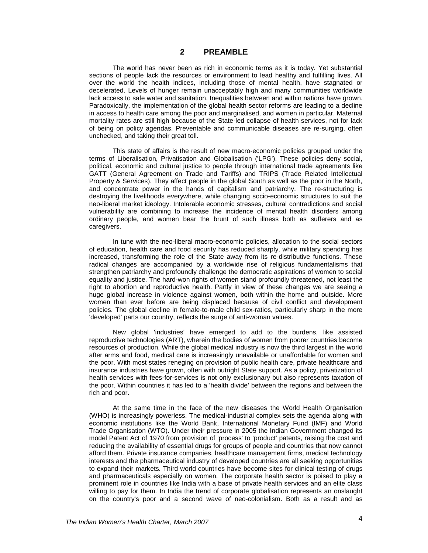## **2 PREAMBLE**

The world has never been as rich in economic terms as it is today. Yet substantial sections of people lack the resources or environment to lead healthy and fulfilling lives. All over the world the health indices, including those of mental health, have stagnated or decelerated. Levels of hunger remain unacceptably high and many communities worldwide lack access to safe water and sanitation. Inequalities between and within nations have grown. Paradoxically, the implementation of the global health sector reforms are leading to a decline in access to health care among the poor and marginalised, and women in particular. Maternal mortality rates are still high because of the State-led collapse of health services, not for lack of being on policy agendas. Preventable and communicable diseases are re-surging, often unchecked, and taking their great toll.

This state of affairs is the result of new macro-economic policies grouped under the terms of Liberalisation, Privatisation and Globalisation ('LPG'). These policies deny social, political, economic and cultural justice to people through international trade agreements like GATT (General Agreement on Trade and Tariffs) and TRIPS (Trade Related Intellectual Property & Services). They affect people in the global South as well as the poor in the North, and concentrate power in the hands of capitalism and patriarchy. The re-structuring is destroying the livelihoods everywhere, while changing socio-economic structures to suit the neo-liberal market ideology. Intolerable economic stresses, cultural contradictions and social vulnerability are combining to increase the incidence of mental health disorders among ordinary people, and women bear the brunt of such illness both as sufferers and as caregivers.

In tune with the neo-liberal macro-economic policies, allocation to the social sectors of education, health care and food security has reduced sharply, while military spending has increased, transforming the role of the State away from its re-distributive functions. These radical changes are accompanied by a worldwide rise of religious fundamentalisms that strengthen patriarchy and profoundly challenge the democratic aspirations of women to social equality and justice. The hard-won rights of women stand profoundly threatened, not least the right to abortion and reproductive health. Partly in view of these changes we are seeing a huge global increase in violence against women, both within the home and outside. More women than ever before are being displaced because of civil conflict and development policies. The global decline in female-to-male child sex-ratios, particularly sharp in the more 'developed' parts our country, reflects the surge of anti-woman values.

New global 'industries' have emerged to add to the burdens, like assisted reproductive technologies (ART), wherein the bodies of women from poorer countries become resources of production. While the global medical industry is now the third largest in the world after arms and food, medical care is increasingly unavailable or unaffordable for women and the poor. With most states reneging on provision of public health care, private healthcare and insurance industries have grown, often with outright State support. As a policy, privatization of health services with fees-for-services is not only exclusionary but also represents taxation of the poor. Within countries it has led to a 'health divide' between the regions and between the rich and poor.

At the same time in the face of the new diseases the World Health Organisation (WHO) is increasingly powerless. The medical-industrial complex sets the agenda along with economic institutions like the World Bank, International Monetary Fund (IMF) and World Trade Organisation (WTO). Under their pressure in 2005 the Indian Government changed its model Patent Act of 1970 from provision of 'process' to 'product' patents, raising the cost and reducing the availability of essential drugs for groups of people and countries that now cannot afford them. Private insurance companies, healthcare management firms, medical technology interests and the pharmaceutical industry of developed countries are all seeking opportunities to expand their markets. Third world countries have become sites for clinical testing of drugs and pharmaceuticals especially on women. The corporate health sector is poised to play a prominent role in countries like India with a base of private health services and an elite class willing to pay for them. In India the trend of corporate globalisation represents an onslaught on the country's poor and a second wave of neo-colonialism. Both as a result and as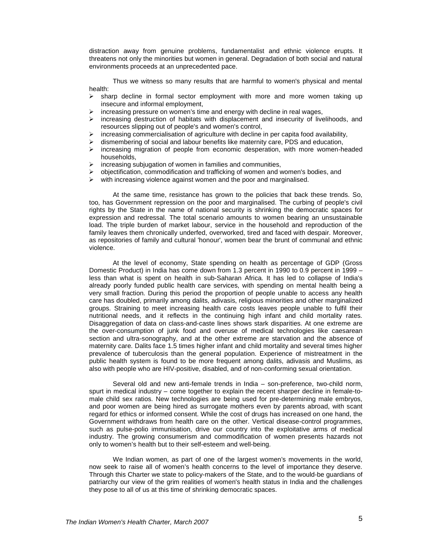distraction away from genuine problems, fundamentalist and ethnic violence erupts. It threatens not only the minorities but women in general. Degradation of both social and natural environments proceeds at an unprecedented pace.

Thus we witness so many results that are harmful to women's physical and mental health:

- $\triangleright$  sharp decline in formal sector employment with more and more women taking up insecure and informal employment,
- increasing pressure on women's time and energy with decline in real wages,<br>
increasing destruction of babitats with displacement and insecurity of live
- increasing destruction of habitats with displacement and insecurity of livelihoods, and resources slipping out of people's and women's control,
- increasing commercialisation of agriculture with decline in per capita food availability,
- $\geq$  dismembering of social and labour benefits like maternity care, PDS and education,<br> $\geq$  increasing migration of people from economic desperation, with more women-but
- increasing migration of people from economic desperation, with more women-headed households,
- increasing subjugation of women in families and communities,<br>  $\triangleright$  objectification, commodification and trafficking of women and w
- $\geq$  objectification, commodification and trafficking of women and women's bodies, and  $\geq$  with increasing violence against women and the poor and marginalised
- with increasing violence against women and the poor and marginalised.

At the same time, resistance has grown to the policies that back these trends. So, too, has Government repression on the poor and marginalised. The curbing of people's civil rights by the State in the name of national security is shrinking the democratic spaces for expression and redressal. The total scenario amounts to women bearing an unsustainable load. The triple burden of market labour, service in the household and reproduction of the family leaves them chronically underfed, overworked, tired and faced with despair. Moreover, as repositories of family and cultural 'honour', women bear the brunt of communal and ethnic violence.

At the level of economy, State spending on health as percentage of GDP (Gross Domestic Product) in India has come down from 1.3 percent in 1990 to 0.9 percent in 1999 – less than what is spent on health in sub-Saharan Africa. It has led to collapse of India's already poorly funded public health care services, with spending on mental health being a very small fraction. During this period the proportion of people unable to access any health care has doubled, primarily among dalits, adivasis, religious minorities and other marginalized groups. Straining to meet increasing health care costs leaves people unable to fulfil their nutritional needs, and it reflects in the continuing high infant and child mortality rates. Disaggregation of data on class-and-caste lines shows stark disparities. At one extreme are the over-consumption of junk food and overuse of medical technologies like caesarean section and ultra-sonography, and at the other extreme are starvation and the absence of maternity care. Dalits face 1.5 times higher infant and child mortality and several times higher prevalence of tuberculosis than the general population. Experience of mistreatment in the public health system is found to be more frequent among dalits, adivasis and Muslims, as also with people who are HIV-positive, disabled, and of non-conforming sexual orientation.

Several old and new anti-female trends in India – son-preference, two-child norm, spurt in medical industry – come together to explain the recent sharper decline in female-tomale child sex ratios. New technologies are being used for pre-determining male embryos, and poor women are being hired as surrogate mothers even by parents abroad, with scant regard for ethics or informed consent. While the cost of drugs has increased on one hand, the Government withdraws from health care on the other. Vertical disease-control programmes, such as pulse-polio immunisation, drive our country into the exploitative arms of medical industry. The growing consumerism and commodification of women presents hazards not only to women's health but to their self-esteem and well-being.

We Indian women, as part of one of the largest women's movements in the world, now seek to raise all of women's health concerns to the level of importance they deserve. Through this Charter we state to policy-makers of the State, and to the would-be guardians of patriarchy our view of the grim realities of women's health status in India and the challenges they pose to all of us at this time of shrinking democratic spaces.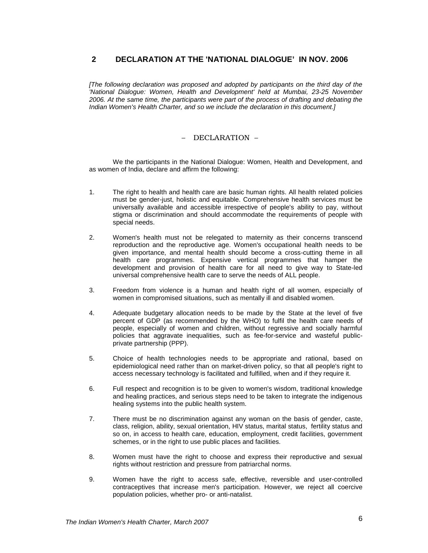## **2 DECLARATION AT THE 'NATIONAL DIALOGUE' IN NOV. 2006**

[The following declaration was proposed and adopted by participants on the third day of the 'National Dialogue: Women, Health and Development' held at Mumbai, 23-25 November 2006. At the same time, the participants were part of the process of drafting and debating the Indian Women's Health Charter, and so we include the declaration in this document.]

## – DECLARATION –

We the participants in the National Dialogue: Women, Health and Development, and as women of India, declare and affirm the following:

- 1. The right to health and health care are basic human rights. All health related policies must be gender-just, holistic and equitable. Comprehensive health services must be universally available and accessible irrespective of people's ability to pay, without stigma or discrimination and should accommodate the requirements of people with special needs.
- 2. Women's health must not be relegated to maternity as their concerns transcend reproduction and the reproductive age. Women's occupational health needs to be given importance, and mental health should become a cross-cutting theme in all health care programmes. Expensive vertical programmes that hamper the development and provision of health care for all need to give way to State-led universal comprehensive health care to serve the needs of ALL people.
- 3. Freedom from violence is a human and health right of all women, especially of women in compromised situations, such as mentally ill and disabled women.
- 4. Adequate budgetary allocation needs to be made by the State at the level of five percent of GDP (as recommended by the WHO) to fulfil the health care needs of people, especially of women and children, without regressive and socially harmful policies that aggravate inequalities, such as fee-for-service and wasteful publicprivate partnership (PPP).
- 5. Choice of health technologies needs to be appropriate and rational, based on epidemiological need rather than on market-driven policy, so that all people's right to access necessary technology is facilitated and fulfilled, when and if they require it.
- 6. Full respect and recognition is to be given to women's wisdom, traditional knowledge and healing practices, and serious steps need to be taken to integrate the indigenous healing systems into the public health system.
- 7. There must be no discrimination against any woman on the basis of gender, caste, class, religion, ability, sexual orientation, HIV status, marital status, fertility status and so on, in access to health care, education, employment, credit facilities, government schemes, or in the right to use public places and facilities.
- 8. Women must have the right to choose and express their reproductive and sexual rights without restriction and pressure from patriarchal norms.
- 9. Women have the right to access safe, effective, reversible and user-controlled contraceptives that increase men's participation. However, we reject all coercive population policies, whether pro- or anti-natalist.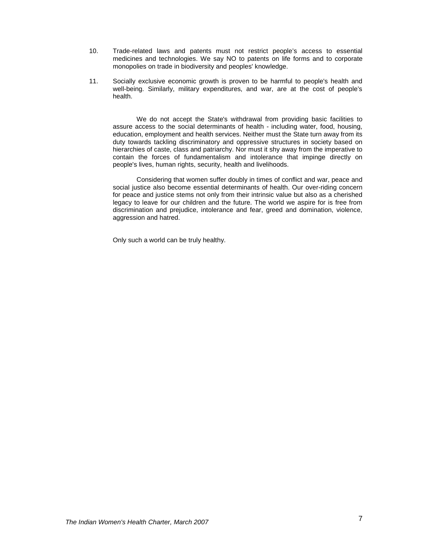- 10. Trade-related laws and patents must not restrict people's access to essential medicines and technologies. We say NO to patents on life forms and to corporate monopolies on trade in biodiversity and peoples' knowledge.
- 11. Socially exclusive economic growth is proven to be harmful to people's health and well-being. Similarly, military expenditures, and war, are at the cost of people's health.

We do not accept the State's withdrawal from providing basic facilities to assure access to the social determinants of health - including water, food, housing, education, employment and health services. Neither must the State turn away from its duty towards tackling discriminatory and oppressive structures in society based on hierarchies of caste, class and patriarchy. Nor must it shy away from the imperative to contain the forces of fundamentalism and intolerance that impinge directly on people's lives, human rights, security, health and livelihoods.

Considering that women suffer doubly in times of conflict and war, peace and social justice also become essential determinants of health. Our over-riding concern for peace and justice stems not only from their intrinsic value but also as a cherished legacy to leave for our children and the future. The world we aspire for is free from discrimination and prejudice, intolerance and fear, greed and domination, violence, aggression and hatred.

Only such a world can be truly healthy.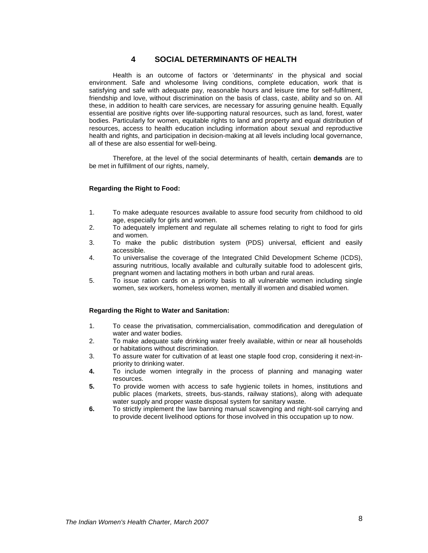## **4 SOCIAL DETERMINANTS OF HEALTH**

Health is an outcome of factors or 'determinants' in the physical and social environment. Safe and wholesome living conditions, complete education, work that is satisfying and safe with adequate pay, reasonable hours and leisure time for self-fulfilment, friendship and love, without discrimination on the basis of class, caste, ability and so on. All these, in addition to health care services, are necessary for assuring genuine health. Equally essential are positive rights over life-supporting natural resources, such as land, forest, water bodies. Particularly for women, equitable rights to land and property and equal distribution of resources, access to health education including information about sexual and reproductive health and rights, and participation in decision-making at all levels including local governance, all of these are also essential for well-being.

Therefore, at the level of the social determinants of health, certain **demands** are to be met in fulfillment of our rights, namely,

#### **Regarding the Right to Food:**

- 1. To make adequate resources available to assure food security from childhood to old age, especially for girls and women.
- 2. To adequately implement and regulate all schemes relating to right to food for girls and women.
- 3. To make the public distribution system (PDS) universal, efficient and easily accessible.
- 4. To universalise the coverage of the Integrated Child Development Scheme (ICDS), assuring nutritious, locally available and culturally suitable food to adolescent girls, pregnant women and lactating mothers in both urban and rural areas.
- 5. To issue ration cards on a priority basis to all vulnerable women including single women, sex workers, homeless women, mentally ill women and disabled women.

#### **Regarding the Right to Water and Sanitation:**

- 1. To cease the privatisation, commercialisation, commodification and deregulation of water and water bodies.
- 2. To make adequate safe drinking water freely available, within or near all households or habitations without discrimination.
- 3. To assure water for cultivation of at least one staple food crop, considering it next-inpriority to drinking water.
- **4.** To include women integrally in the process of planning and managing water resources.
- **5.** To provide women with access to safe hygienic toilets in homes, institutions and public places (markets, streets, bus-stands, railway stations), along with adequate water supply and proper waste disposal system for sanitary waste.
- **6.** To strictly implement the law banning manual scavenging and night-soil carrying and to provide decent livelihood options for those involved in this occupation up to now.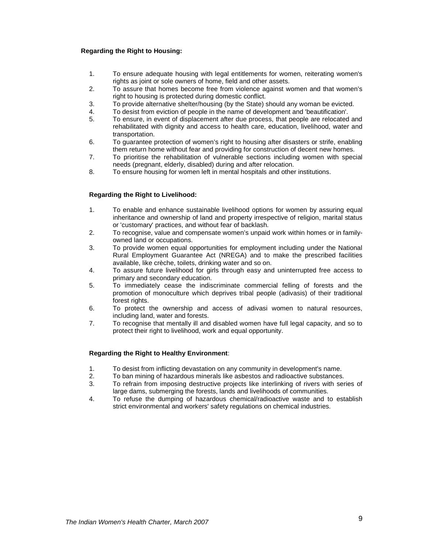### **Regarding the Right to Housing:**

- 1. To ensure adequate housing with legal entitlements for women, reiterating women's rights as joint or sole owners of home, field and other assets.
- 2. To assure that homes become free from violence against women and that women's right to housing is protected during domestic conflict.
- 3. To provide alternative shelter/housing (by the State) should any woman be evicted.
- 4. To desist from eviction of people in the name of development and 'beautification'.
- 5. To ensure, in event of displacement after due process, that people are relocated and rehabilitated with dignity and access to health care, education, livelihood, water and transportation.
- 6. To guarantee protection of women's right to housing after disasters or strife, enabling them return home without fear and providing for construction of decent new homes.
- 7. To prioritise the rehabilitation of vulnerable sections including women with special needs (pregnant, elderly, disabled) during and after relocation.
- 8. To ensure housing for women left in mental hospitals and other institutions.

#### **Regarding the Right to Livelihood:**

- 1. To enable and enhance sustainable livelihood options for women by assuring equal inheritance and ownership of land and property irrespective of religion, marital status or 'customary' practices, and without fear of backlash.
- 2. To recognise, value and compensate women's unpaid work within homes or in familyowned land or occupations.
- 3. To provide women equal opportunities for employment including under the National Rural Employment Guarantee Act (NREGA) and to make the prescribed facilities available, like crèche, toilets, drinking water and so on.
- 4. To assure future livelihood for girls through easy and uninterrupted free access to primary and secondary education.
- 5. To immediately cease the indiscriminate commercial felling of forests and the promotion of monoculture which deprives tribal people (adivasis) of their traditional forest rights.
- 6. To protect the ownership and access of adivasi women to natural resources, including land, water and forests.
- 7. To recognise that mentally ill and disabled women have full legal capacity, and so to protect their right to livelihood, work and equal opportunity.

#### **Regarding the Right to Healthy Environment**:

- 1. To desist from inflicting devastation on any community in development's name.
- 2. To ban mining of hazardous minerals like asbestos and radioactive substances.<br>3. To refrain from imposing destructive projects like interlinking of rivers with ser
- To refrain from imposing destructive projects like interlinking of rivers with series of large dams, submerging the forests, lands and livelihoods of communities.
- 4. To refuse the dumping of hazardous chemical/radioactive waste and to establish strict environmental and workers' safety regulations on chemical industries.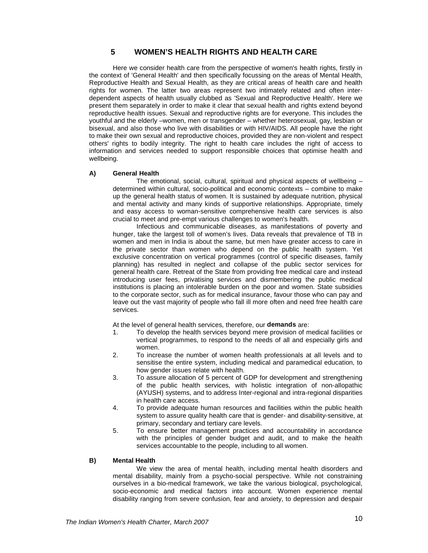## **5 WOMEN'S HEALTH RIGHTS AND HEALTH CARE**

Here we consider health care from the perspective of women's health rights, firstly in the context of 'General Health' and then specifically focussing on the areas of Mental Health, Reproductive Health and Sexual Health, as they are critical areas of health care and health rights for women. The latter two areas represent two intimately related and often interdependent aspects of health usually clubbed as 'Sexual and Reproductive Health'. Here we present them separately in order to make it clear that sexual health and rights extend beyond reproductive health issues. Sexual and reproductive rights are for everyone. This includes the youthful and the elderly –women, men or transgender – whether heterosexual, gay, lesbian or bisexual, and also those who live with disabilities or with HIV/AIDS. All people have the right to make their own sexual and reproductive choices, provided they are non-violent and respect others' rights to bodily integrity. The right to health care includes the right of access to information and services needed to support responsible choices that optimise health and wellbeing.

#### **A) General Health**

The emotional, social, cultural, spiritual and physical aspects of wellbeing – determined within cultural, socio-political and economic contexts – combine to make up the general health status of women. It is sustained by adequate nutrition, physical and mental activity and many kinds of supportive relationships. Appropriate, timely and easy access to woman-sensitive comprehensive health care services is also crucial to meet and pre-empt various challenges to women's health.

Infectious and communicable diseases, as manifestations of poverty and hunger, take the largest toll of women's lives. Data reveals that prevalence of TB in women and men in India is about the same, but men have greater access to care in the private sector than women who depend on the public health system. Yet exclusive concentration on vertical programmes (control of specific diseases, family planning) has resulted in neglect and collapse of the public sector services for general health care. Retreat of the State from providing free medical care and instead introducing user fees, privatising services and dismembering the public medical institutions is placing an intolerable burden on the poor and women. State subsidies to the corporate sector, such as for medical insurance, favour those who can pay and leave out the vast majority of people who fall ill more often and need free health care services.

At the level of general health services, therefore, our **demands** are:

- 1. To develop the health services beyond mere provision of medical facilities or vertical programmes, to respond to the needs of all and especially girls and women.
- 2. To increase the number of women health professionals at all levels and to sensitise the entire system, including medical and paramedical education, to how gender issues relate with health.
- 3. To assure allocation of 5 percent of GDP for development and strengthening of the public health services, with holistic integration of non-allopathic (AYUSH) systems, and to address Inter-regional and intra-regional disparities in health care access.
- 4. To provide adequate human resources and facilities within the public health system to assure quality health care that is gender- and disability-sensitive, at primary, secondary and tertiary care levels.
- 5. To ensure better management practices and accountability in accordance with the principles of gender budget and audit, and to make the health services accountable to the people, including to all women.

## **B) Mental Health**

We view the area of mental health, including mental health disorders and mental disability, mainly from a psycho-social perspective. While not constraining ourselves in a bio-medical framework, we take the various biological, psychological, socio-economic and medical factors into account. Women experience mental disability ranging from severe confusion, fear and anxiety, to depression and despair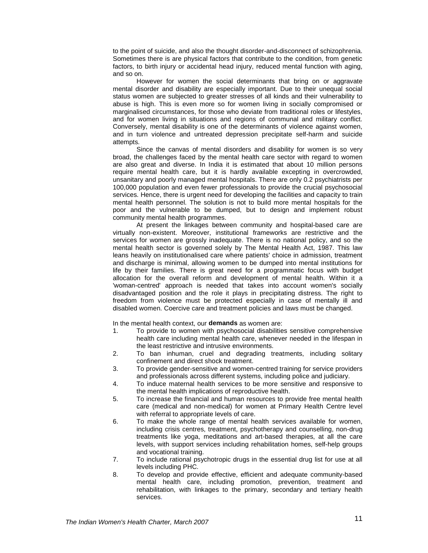to the point of suicide, and also the thought disorder-and-disconnect of schizophrenia. Sometimes there is are physical factors that contribute to the condition, from genetic factors, to birth injury or accidental head injury, reduced mental function with aging, and so on.

However for women the social determinants that bring on or aggravate mental disorder and disability are especially important. Due to their unequal social status women are subjected to greater stresses of all kinds and their vulnerability to abuse is high. This is even more so for women living in socially compromised or marginalised circumstances, for those who deviate from traditional roles or lifestyles, and for women living in situations and regions of communal and military conflict. Conversely, mental disability is one of the determinants of violence against women, and in turn violence and untreated depression precipitate self-harm and suicide attempts.

Since the canvas of mental disorders and disability for women is so very broad, the challenges faced by the mental health care sector with regard to women are also great and diverse. In India it is estimated that about 10 million persons require mental health care, but it is hardly available excepting in overcrowded, unsanitary and poorly managed mental hospitals. There are only 0.2 psychiatrists per 100,000 population and even fewer professionals to provide the crucial psychosocial services. Hence, there is urgent need for developing the facilities and capacity to train mental health personnel. The solution is not to build more mental hospitals for the poor and the vulnerable to be dumped, but to design and implement robust community mental health programmes.

At present the linkages between community and hospital-based care are virtually non-existent. Moreover, institutional frameworks are restrictive and the services for women are grossly inadequate. There is no national policy, and so the mental health sector is governed solely by The Mental Health Act, 1987. This law leans heavily on institutionalised care where patients' choice in admission, treatment and discharge is minimal, allowing women to be dumped into mental institutions for life by their families. There is great need for a programmatic focus with budget allocation for the overall reform and development of mental health. Within it a 'woman-centred' approach is needed that takes into account women's socially disadvantaged position and the role it plays in precipitating distress. The right to freedom from violence must be protected especially in case of mentally ill and disabled women. Coercive care and treatment policies and laws must be changed.

In the mental health context, our **demands** as women are:

- 1. To provide to women with psychosocial disabilities sensitive comprehensive health care including mental health care, whenever needed in the lifespan in the least restrictive and intrusive environments.
- 2. To ban inhuman, cruel and degrading treatments, including solitary confinement and direct shock treatment.
- 3. To provide gender-sensitive and women-centred training for service providers and professionals across different systems, including police and judiciary.
- 4. To induce maternal health services to be more sensitive and responsive to the mental health implications of reproductive health.
- 5. To increase the financial and human resources to provide free mental health care (medical and non-medical) for women at Primary Health Centre level with referral to appropriate levels of care.
- 6. To make the whole range of mental health services available for women, including crisis centres, treatment, psychotherapy and counselling, non-drug treatments like yoga, meditations and art-based therapies, at all the care levels, with support services including rehabilitation homes, self-help groups and vocational training.
- 7. To include rational psychotropic drugs in the essential drug list for use at all levels including PHC.
- 8. To develop and provide effective, efficient and adequate community-based mental health care, including promotion, prevention, treatment and rehabilitation, with linkages to the primary, secondary and tertiary health services.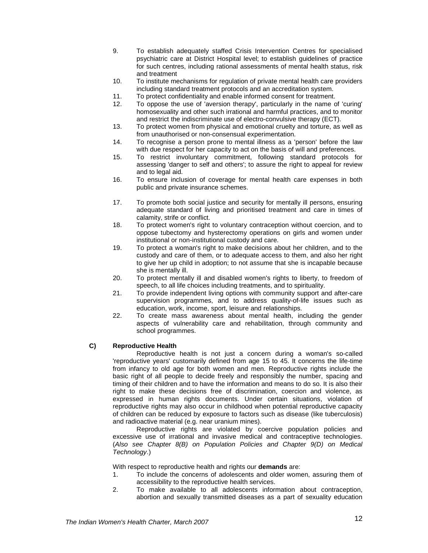- 9. To establish adequately staffed Crisis Intervention Centres for specialised psychiatric care at District Hospital level; to establish guidelines of practice for such centres, including rational assessments of mental health status, risk and treatment
- 10. To institute mechanisms for regulation of private mental health care providers including standard treatment protocols and an accreditation system.
- 11. To protect confidentiality and enable informed consent for treatment.<br>12. To oppose the use of 'aversion therapy', particularly in the name of
- 12. To oppose the use of 'aversion therapy', particularly in the name of 'curing' homosexuality and other such irrational and harmful practices, and to monitor and restrict the indiscriminate use of electro-convulsive therapy (ECT).
- 13. To protect women from physical and emotional cruelty and torture, as well as from unauthorised or non-consensual experimentation.
- 14. To recognise a person prone to mental illness as a 'person' before the law with due respect for her capacity to act on the basis of will and preferences.
- 15. To restrict involuntary commitment, following standard protocols for assessing 'danger to self and others'; to assure the right to appeal for review and to legal aid.
- 16. To ensure inclusion of coverage for mental health care expenses in both public and private insurance schemes.
- 17. To promote both social justice and security for mentally ill persons, ensuring adequate standard of living and prioritised treatment and care in times of calamity, strife or conflict.
- 18. To protect women's right to voluntary contraception without coercion, and to oppose tubectomy and hysterectomy operations on girls and women under institutional or non-institutional custody and care.
- 19. To protect a woman's right to make decisions about her children, and to the custody and care of them, or to adequate access to them, and also her right to give her up child in adoption; to not assume that she is incapable because she is mentally ill.
- 20. To protect mentally ill and disabled women's rights to liberty, to freedom of speech, to all life choices including treatments, and to spirituality.
- 21. To provide independent living options with community support and after-care supervision programmes, and to address quality-of-life issues such as education, work, income, sport, leisure and relationships.
- 22. To create mass awareness about mental health, including the gender aspects of vulnerability care and rehabilitation, through community and school programmes.

## **C) Reproductive Health**

Reproductive health is not just a concern during a woman's so-called 'reproductive years' customarily defined from age 15 to 45. It concerns the life-time from infancy to old age for both women and men. Reproductive rights include the basic right of all people to decide freely and responsibly the number, spacing and timing of their children and to have the information and means to do so. It is also their right to make these decisions free of discrimination, coercion and violence, as expressed in human rights documents. Under certain situations, violation of reproductive rights may also occur in childhood when potential reproductive capacity of children can be reduced by exposure to factors such as disease (like tuberculosis) and radioactive material (e.g. near uranium mines).

Reproductive rights are violated by coercive population policies and excessive use of irrational and invasive medical and contraceptive technologies. (Also see Chapter 8(B) on Population Policies and Chapter 9(D) on Medical Technology.)

With respect to reproductive health and rights our **demands** are:

- 1. To include the concerns of adolescents and older women, assuring them of accessibility to the reproductive health services.
- 2. To make available to all adolescents information about contraception, abortion and sexually transmitted diseases as a part of sexuality education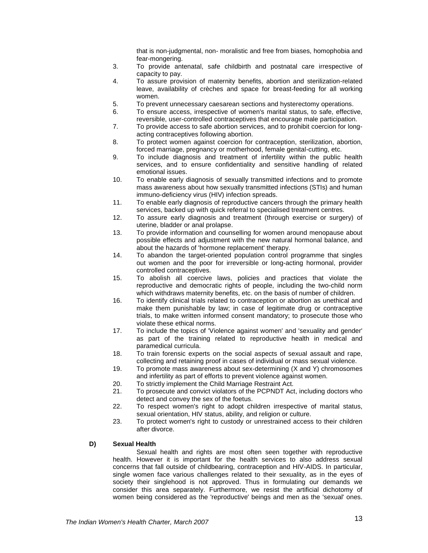that is non-judgmental, non- moralistic and free from biases, homophobia and fear-mongering.

- 3. To provide antenatal, safe childbirth and postnatal care irrespective of capacity to pay.
- 4. To assure provision of maternity benefits, abortion and sterilization-related leave, availability of crèches and space for breast-feeding for all working women.
- 5. To prevent unnecessary caesarean sections and hysterectomy operations.
- 6. To ensure access, irrespective of women's marital status, to safe, effective, reversible, user-controlled contraceptives that encourage male participation.
- 7. To provide access to safe abortion services, and to prohibit coercion for longacting contraceptives following abortion.
- 8. To protect women against coercion for contraception, sterilization, abortion, forced marriage, pregnancy or motherhood, female genital-cutting, etc.
- 9. To include diagnosis and treatment of infertility within the public health services, and to ensure confidentiality and sensitive handling of related emotional issues.
- 10. To enable early diagnosis of sexually transmitted infections and to promote mass awareness about how sexually transmitted infections (STIs) and human immuno-deficiency virus (HIV) infection spreads.
- 11. To enable early diagnosis of reproductive cancers through the primary health services, backed up with quick referral to specialised treatment centres.
- 12. To assure early diagnosis and treatment (through exercise or surgery) of uterine, bladder or anal prolapse.
- 13. To provide information and counselling for women around menopause about possible effects and adjustment with the new natural hormonal balance, and about the hazards of 'hormone replacement' therapy.
- 14. To abandon the target-oriented population control programme that singles out women and the poor for irreversible or long-acting hormonal, provider controlled contraceptives.
- 15. To abolish all coercive laws, policies and practices that violate the reproductive and democratic rights of people, including the two-child norm which withdraws maternity benefits, etc. on the basis of number of children.
- 16. To identify clinical trials related to contraception or abortion as unethical and make them punishable by law; in case of legitimate drug or contraceptive trials, to make written informed consent mandatory; to prosecute those who violate these ethical norms.
- 17. To include the topics of 'Violence against women' and 'sexuality and gender' as part of the training related to reproductive health in medical and paramedical curricula.
- 18. To train forensic experts on the social aspects of sexual assault and rape, collecting and retaining proof in cases of individual or mass sexual violence.
- 19. To promote mass awareness about sex-determining (X and Y) chromosomes and infertility as part of efforts to prevent violence against women.
- 20. To strictly implement the Child Marriage Restraint Act.
- 21. To prosecute and convict violators of the PCPNDT Act, including doctors who detect and convey the sex of the foetus.
- 22. To respect women's right to adopt children irrespective of marital status, sexual orientation, HIV status, ability, and religion or culture.
- 23. To protect women's right to custody or unrestrained access to their children after divorce.

#### **D) Sexual Health**

Sexual health and rights are most often seen together with reproductive health. However it is important for the health services to also address sexual concerns that fall outside of childbearing, contraception and HIV-AIDS. In particular, single women face various challenges related to their sexuality, as in the eyes of society their singlehood is not approved. Thus in formulating our demands we consider this area separately. Furthermore, we resist the artificial dichotomy of women being considered as the 'reproductive' beings and men as the 'sexual' ones.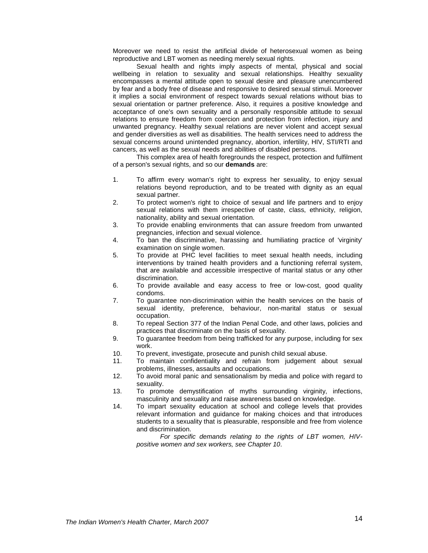Moreover we need to resist the artificial divide of heterosexual women as being reproductive and LBT women as needing merely sexual rights.

Sexual health and rights imply aspects of mental, physical and social wellbeing in relation to sexuality and sexual relationships. Healthy sexuality encompasses a mental attitude open to sexual desire and pleasure unencumbered by fear and a body free of disease and responsive to desired sexual stimuli. Moreover it implies a social environment of respect towards sexual relations without bias to sexual orientation or partner preference. Also, it requires a positive knowledge and acceptance of one's own sexuality and a personally responsible attitude to sexual relations to ensure freedom from coercion and protection from infection, injury and unwanted pregnancy. Healthy sexual relations are never violent and accept sexual and gender diversities as well as disabilities. The health services need to address the sexual concerns around unintended pregnancy, abortion, infertility, HIV, STI/RTI and cancers, as well as the sexual needs and abilities of disabled persons.

This complex area of health foregrounds the respect, protection and fulfilment of a person's sexual rights, and so our **demands** are:

- 1. To affirm every woman's right to express her sexuality, to enjoy sexual relations beyond reproduction, and to be treated with dignity as an equal sexual partner.
- 2. To protect women's right to choice of sexual and life partners and to enjoy sexual relations with them irrespective of caste, class, ethnicity, religion, nationality, ability and sexual orientation.
- 3. To provide enabling environments that can assure freedom from unwanted pregnancies, infection and sexual violence.
- 4. To ban the discriminative, harassing and humiliating practice of 'virginity' examination on single women.
- 5. To provide at PHC level facilities to meet sexual health needs, including interventions by trained health providers and a functioning referral system, that are available and accessible irrespective of marital status or any other discrimination.
- 6. To provide available and easy access to free or low-cost, good quality condoms.
- 7. To guarantee non-discrimination within the health services on the basis of sexual identity, preference, behaviour, non-marital status or sexual occupation.
- 8. To repeal Section 377 of the Indian Penal Code, and other laws, policies and practices that discriminate on the basis of sexuality.
- 9. To guarantee freedom from being trafficked for any purpose, including for sex work.
- 10. To prevent, investigate, prosecute and punish child sexual abuse.
- 11. To maintain confidentiality and refrain from judgement about sexual problems, illnesses, assaults and occupations.
- 12. To avoid moral panic and sensationalism by media and police with regard to sexuality.
- 13. To promote demystification of myths surrounding virginity, infections, masculinity and sexuality and raise awareness based on knowledge.
- 14. To impart sexuality education at school and college levels that provides relevant information and guidance for making choices and that introduces students to a sexuality that is pleasurable, responsible and free from violence and discrimination.

For specific demands relating to the rights of LBT women, HIVpositive women and sex workers, see Chapter 10.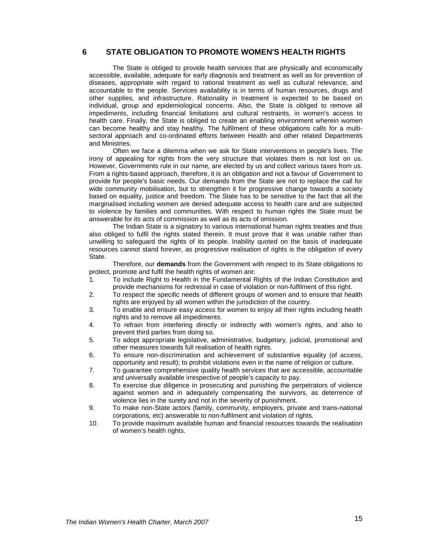## **6 STATE OBLIGATION TO PROMOTE WOMEN'S HEALTH RIGHTS**

The State is obliged to provide health services that are physically and economically accessible, available, adequate for early diagnosis and treatment as well as for prevention of diseases, appropriate with regard to rational treatment as well as cultural relevance, and accountable to the people. Services availability is in terms of human resources, drugs and other supplies, and infrastructure. Rationality in treatment is expected to be based on individual, group and epidemiological concerns. Also, the State is obliged to remove all impediments, including financial limitations and cultural restraints, in women's access to health care. Finally, the State is obliged to create an enabling environment wherein women can become healthy and stay healthy. The fulfilment of these obligations calls for a multisectoral approach and co-ordinated efforts between Health and other related Departments and Ministries.

Often we face a dilemma when we ask for State interventions in people's lives. The irony of appealing for rights from the very structure that violates them is not lost on us. However, Governments rule in our name, are elected by us and collect various taxes from us. From a rights-based approach, therefore, it is an obligation and not a favour of Government to provide for people's basic needs. Our demands from the State are not to replace the call for wide community mobilisation, but to strengthen it for progressive change towards a society based on equality, justice and freedom. The State has to be sensitive to the fact that all the marginalised including women are denied adequate access to health care and are subjected to violence by families and communities. With respect to human rights the State must be answerable for its acts of commission as well as its acts of omission.

The Indian State is a signatory to various international human rights treaties and thus also obliged to fulfil the rights stated therein. It must prove that it was unable rather than unwilling to safeguard the rights of its people. Inability quoted on the basis of inadequate resources cannot stand forever, as progressive realisation of rights is the obligation of every State.

Therefore, our **demands** from the Government with respect to its State obligations to protect, promote and fulfil the health rights of women are:

- 1. To include Right to Health in the Fundamental Rights of the Indian Constitution and provide mechanisms for redressal in case of violation or non-fulfilment of this right.
- 2. To respect the specific needs of different groups of women and to ensure that health rights are enjoyed by all women within the jurisdiction of the country.
- 3. To enable and ensure easy access for women to enjoy all their rights including health rights and to remove all impediments.
- 4. To refrain from interfering directly or indirectly with women's rights, and also to prevent third parties from doing so.
- 5. To adopt appropriate legislative, administrative, budgetary, judicial, promotional and other measures towards full realisation of health rights.
- 6. To ensure non-discrimination and achievement of substantive equality (of access, opportunity and result); to prohibit violations even in the name of religion or culture.
- 7. To guarantee comprehensive quality health services that are accessible, accountable and universally available irrespective of people's capacity to pay.
- 8. To exercise due diligence in prosecuting and punishing the perpetrators of violence against women and in adequately compensating the survivors, as deterrence of violence lies in the surety and not in the severity of punishment.
- 9. To make non-State actors (family, community, employers, private and trans-national corporations, etc) answerable to non-fulfilment and violation of rights.
- 10. To provide maximum available human and financial resources towards the realisation of women's health rights.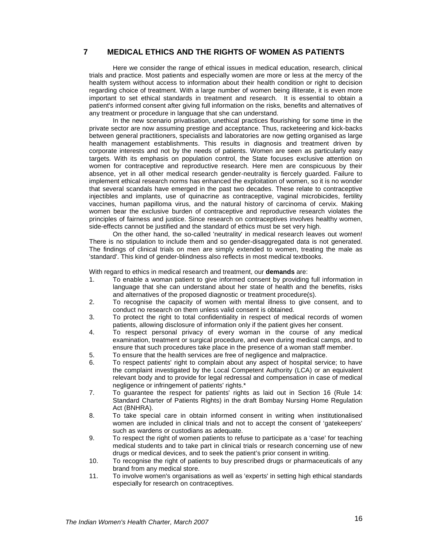## **7 MEDICAL ETHICS AND THE RIGHTS OF WOMEN AS PATIENTS**

Here we consider the range of ethical issues in medical education, research, clinical trials and practice. Most patients and especially women are more or less at the mercy of the health system without access to information about their health condition or right to decision regarding choice of treatment. With a large number of women being illiterate, it is even more important to set ethical standards in treatment and research. It is essential to obtain a patient's informed consent after giving full information on the risks, benefits and alternatives of any treatment or procedure in language that she can understand.

In the new scenario privatisation, unethical practices flourishing for some time in the private sector are now assuming prestige and acceptance. Thus, racketeering and kick-backs between general practitioners, specialists and laboratories are now getting organised as large health management establishments. This results in diagnosis and treatment driven by corporate interests and not by the needs of patients. Women are seen as particularly easy targets. With its emphasis on population control, the State focuses exclusive attention on women for contraceptive and reproductive research. Here men are conspicuous by their absence, yet in all other medical research gender-neutrality is fiercely guarded. Failure to implement ethical research norms has enhanced the exploitation of women, so it is no wonder that several scandals have emerged in the past two decades. These relate to contraceptive injectibles and implants, use of quinacrine as contraceptive, vaginal microbicides, fertility vaccines, human papilloma virus, and the natural history of carcinoma of cervix. Making women bear the exclusive burden of contraceptive and reproductive research violates the principles of fairness and justice. Since research on contraceptives involves healthy women, side-effects cannot be justified and the standard of ethics must be set very high.

On the other hand, the so-called 'neutrality' in medical research leaves out women! There is no stipulation to include them and so gender-disaggregated data is not generated. The findings of clinical trials on men are simply extended to women, treating the male as 'standard'. This kind of gender-blindness also reflects in most medical textbooks.

With regard to ethics in medical research and treatment, our **demands** are:

- 1. To enable a woman patient to give informed consent by providing full information in language that she can understand about her state of health and the benefits, risks and alternatives of the proposed diagnostic or treatment procedure(s).
- 2. To recognise the capacity of women with mental illness to give consent, and to conduct no research on them unless valid consent is obtained.
- 3. To protect the right to total confidentiality in respect of medical records of women patients, allowing disclosure of information only if the patient gives her consent.
- 4. To respect personal privacy of every woman in the course of any medical examination, treatment or surgical procedure, and even during medical camps, and to ensure that such procedures take place in the presence of a woman staff member.
- 5. To ensure that the health services are free of negligence and malpractice.
- 6. To respect patients' right to complain about any aspect of hospital service; to have the complaint investigated by the Local Competent Authority (LCA) or an equivalent relevant body and to provide for legal redressal and compensation in case of medical negligence or infringement of patients' rights.\*
- 7. To guarantee the respect for patients' rights as laid out in Section 16 (Rule 14: Standard Charter of Patients Rights) in the draft Bombay Nursing Home Regulation Act (BNHRA).
- 8. To take special care in obtain informed consent in writing when institutionalised women are included in clinical trials and not to accept the consent of 'gatekeepers' such as wardens or custodians as adequate.
- 9. To respect the right of women patients to refuse to participate as a 'case' for teaching medical students and to take part in clinical trials or research concerning use of new drugs or medical devices, and to seek the patient's prior consent in writing.
- 10. To recognise the right of patients to buy prescribed drugs or pharmaceuticals of any brand from any medical store.
- 11. To involve women's organisations as well as 'experts' in setting high ethical standards especially for research on contraceptives.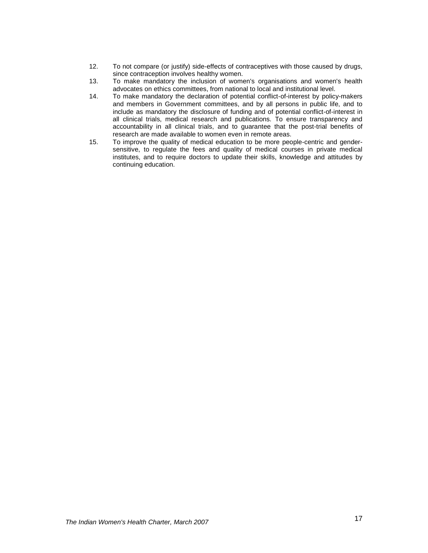- 12. To not compare (or justify) side-effects of contraceptives with those caused by drugs, since contraception involves healthy women.
- 13. To make mandatory the inclusion of women's organisations and women's health advocates on ethics committees, from national to local and institutional level.
- 14. To make mandatory the declaration of potential conflict-of-interest by policy-makers and members in Government committees, and by all persons in public life, and to include as mandatory the disclosure of funding and of potential conflict-of-interest in all clinical trials, medical research and publications. To ensure transparency and accountability in all clinical trials, and to guarantee that the post-trial benefits of research are made available to women even in remote areas.
- 15. To improve the quality of medical education to be more people-centric and gendersensitive, to regulate the fees and quality of medical courses in private medical institutes, and to require doctors to update their skills, knowledge and attitudes by continuing education.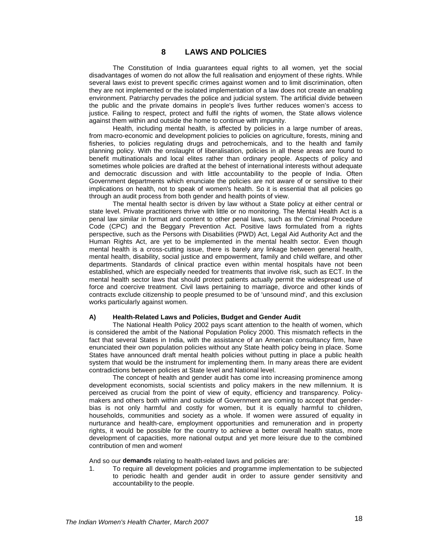## **8 LAWS AND POLICIES**

The Constitution of India guarantees equal rights to all women, yet the social disadvantages of women do not allow the full realisation and enjoyment of these rights. While several laws exist to prevent specific crimes against women and to limit discrimination, often they are not implemented or the isolated implementation of a law does not create an enabling environment. Patriarchy pervades the police and judicial system. The artificial divide between the public and the private domains in people's lives further reduces women's access to justice. Failing to respect, protect and fulfil the rights of women, the State allows violence against them within and outside the home to continue with impunity.

Health, including mental health, is affected by policies in a large number of areas, from macro-economic and development policies to policies on agriculture, forests, mining and fisheries, to policies regulating drugs and petrochemicals, and to the health and family planning policy. With the onslaught of liberalisation, policies in all these areas are found to benefit multinationals and local elites rather than ordinary people. Aspects of policy and sometimes whole policies are drafted at the behest of international interests without adequate and democratic discussion and with little accountability to the people of India. Often Government departments which enunciate the policies are not aware of or sensitive to their implications on health, not to speak of women's health. So it is essential that all policies go through an audit process from both gender and health points of view.

The mental health sector is driven by law without a State policy at either central or state level. Private practitioners thrive with little or no monitoring. The Mental Health Act is a penal law similar in format and content to other penal laws, such as the Criminal Procedure Code (CPC) and the Beggary Prevention Act. Positive laws formulated from a rights perspective, such as the Persons with Disabilities (PWD) Act, Legal Aid Authority Act and the Human Rights Act, are yet to be implemented in the mental health sector. Even though mental health is a cross-cutting issue, there is barely any linkage between general health, mental health, disability, social justice and empowerment, family and child welfare, and other departments. Standards of clinical practice even within mental hospitals have not been established, which are especially needed for treatments that involve risk, such as ECT. In the mental health sector laws that should protect patients actually permit the widespread use of force and coercive treatment. Civil laws pertaining to marriage, divorce and other kinds of contracts exclude citizenship to people presumed to be of 'unsound mind', and this exclusion works particularly against women.

#### **A) Health-Related Laws and Policies, Budget and Gender Audit**

The National Health Policy 2002 pays scant attention to the health of women, which is considered the ambit of the National Population Policy 2000. This mismatch reflects in the fact that several States in India, with the assistance of an American consultancy firm, have enunciated their own population policies without any State health policy being in place. Some States have announced draft mental health policies without putting in place a public health system that would be the instrument for implementing them. In many areas there are evident contradictions between policies at State level and National level.

The concept of health and gender audit has come into increasing prominence among development economists, social scientists and policy makers in the new millennium. It is perceived as crucial from the point of view of equity, efficiency and transparency. Policymakers and others both within and outside of Government are coming to accept that genderbias is not only harmful and costly for women, but it is equally harmful to children, households, communities and society as a whole. If women were assured of equality in nurturance and health-care, employment opportunities and remuneration and in property rights, it would be possible for the country to achieve a better overall health status, more development of capacities, more national output and yet more leisure due to the combined contribution of men and women!

And so our **demands** relating to health-related laws and policies are:

1. To require all development policies and programme implementation to be subjected to periodic health and gender audit in order to assure gender sensitivity and accountability to the people.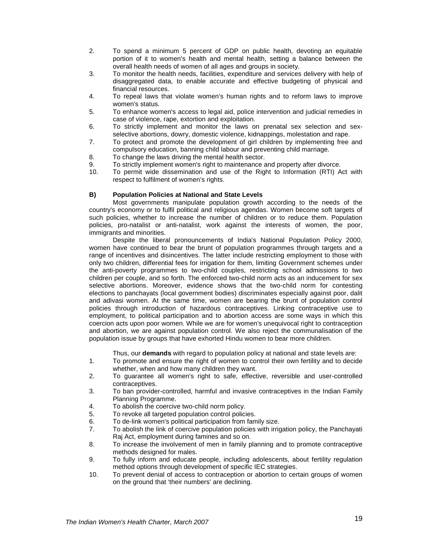- 2. To spend a minimum 5 percent of GDP on public health, devoting an equitable portion of it to women's health and mental health, setting a balance between the overall health needs of women of all ages and groups in society.
- 3. To monitor the health needs, facilities, expenditure and services delivery with help of disaggregated data, to enable accurate and effective budgeting of physical and financial resources.
- 4. To repeal laws that violate women's human rights and to reform laws to improve women's status.
- 5. To enhance women's access to legal aid, police intervention and judicial remedies in case of violence, rape, extortion and exploitation.
- 6. To strictly implement and monitor the laws on prenatal sex selection and sexselective abortions, dowry, domestic violence, kidnappings, molestation and rape.
- 7. To protect and promote the development of girl children by implementing free and compulsory education, banning child labour and preventing child marriage.
- 8. To change the laws driving the mental health sector.
- 9. To strictly implement women's right to maintenance and property after divorce.
- 10. To permit wide dissemination and use of the Right to Information (RTI) Act with respect to fulfilment of women's rights.

#### **B) Population Policies at National and State Levels**

Most governments manipulate population growth according to the needs of the country's economy or to fulfil political and religious agendas. Women become soft targets of such policies, whether to increase the number of children or to reduce them. Population policies, pro-natalist or anti-natalist, work against the interests of women, the poor, immigrants and minorities.

Despite the liberal pronouncements of India's National Population Policy 2000, women have continued to bear the brunt of population programmes through targets and a range of incentives and disincentives. The latter include restricting employment to those with only two children, differential fees for irrigation for them, limiting Government schemes under the anti-poverty programmes to two-child couples, restricting school admissions to two children per couple, and so forth. The enforced two-child norm acts as an inducement for sex selective abortions. Moreover, evidence shows that the two-child norm for contesting elections to panchayats (local government bodies) discriminates especially against poor, dalit and adivasi women. At the same time, women are bearing the brunt of population control policies through introduction of hazardous contraceptives. Linking contraceptive use to employment, to political participation and to abortion access are some ways in which this coercion acts upon poor women. While we are for women's unequivocal right to contraception and abortion, we are against population control. We also reject the communalisation of the population issue by groups that have exhorted Hindu women to bear more children.

Thus, our **demands** with regard to population policy at national and state levels are:

- 1. To promote and ensure the right of women to control their own fertility and to decide whether, when and how many children they want.
- 2. To guarantee all women's right to safe, effective, reversible and user-controlled contraceptives.
- 3. To ban provider-controlled, harmful and invasive contraceptives in the Indian Family Planning Programme.
- 4. To abolish the coercive two-child norm policy.<br>5. To revoke all targeted population control polici
- To revoke all targeted population control policies.
- 6. To de-link women's political participation from family size.
- 7. To abolish the link of coercive population policies with irrigation policy, the Panchayati Raj Act, employment during famines and so on.
- 8. To increase the involvement of men in family planning and to promote contraceptive methods designed for males.
- 9. To fully inform and educate people, including adolescents, about fertility regulation method options through development of specific IEC strategies.
- 10. To prevent denial of access to contraception or abortion to certain groups of women on the ground that 'their numbers' are declining.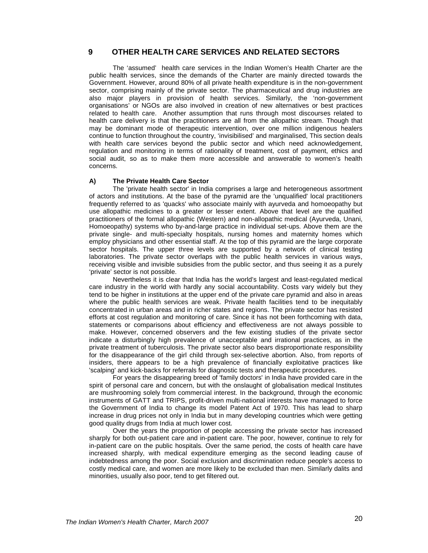## **9 OTHER HEALTH CARE SERVICES AND RELATED SECTORS**

The 'assumed' health care services in the Indian Women's Health Charter are the public health services, since the demands of the Charter are mainly directed towards the Government. However, around 80% of all private health expenditure is in the non-government sector, comprising mainly of the private sector. The pharmaceutical and drug industries are also major players in provision of health services. Similarly, the 'non-government organisations' or NGOs are also involved in creation of new alternatives or best practices related to health care. Another assumption that runs through most discourses related to health care delivery is that the practitioners are all from the allopathic stream. Though that may be dominant mode of therapeutic intervention, over one million indigenous healers continue to function throughout the country, 'invisibilised' and marginalised, This section deals with health care services beyond the public sector and which need acknowledgement, regulation and monitoring in terms of rationality of treatment, cost of payment, ethics and social audit, so as to make them more accessible and answerable to women's health concerns.

#### **A) The Private Health Care Sector**

The 'private health sector' in India comprises a large and heterogeneous assortment of actors and institutions. At the base of the pyramid are the 'unqualified' local practitioners frequently referred to as 'quacks' who associate mainly with ayurveda and homoeopathy but use allopathic medicines to a greater or lesser extent. Above that level are the qualified practitioners of the formal allopathic (Western) and non-allopathic medical (Ayurveda, Unani, Homoeopathy) systems who by-and-large practice in individual set-ups. Above them are the private single- and multi-specialty hospitals, nursing homes and maternity homes which employ physicians and other essential staff. At the top of this pyramid are the large corporate sector hospitals. The upper three levels are supported by a network of clinical testing laboratories. The private sector overlaps with the public health services in various ways, receiving visible and invisible subsidies from the public sector, and thus seeing it as a purely 'private' sector is not possible.

Nevertheless it is clear that India has the world's largest and least-regulated medical care industry in the world with hardly any social accountability. Costs vary widely but they tend to be higher in institutions at the upper end of the private care pyramid and also in areas where the public health services are weak. Private health facilities tend to be inequitably concentrated in urban areas and in richer states and regions. The private sector has resisted efforts at cost regulation and monitoring of care. Since it has not been forthcoming with data, statements or comparisons about efficiency and effectiveness are not always possible to make. However, concerned observers and the few existing studies of the private sector indicate a disturbingly high prevalence of unacceptable and irrational practices, as in the private treatment of tuberculosis. The private sector also bears disproportionate responsibility for the disappearance of the girl child through sex-selective abortion. Also, from reports of insiders, there appears to be a high prevalence of financially exploitative practices like 'scalping' and kick-backs for referrals for diagnostic tests and therapeutic procedures.

For years the disappearing breed of 'family doctors' in India have provided care in the spirit of personal care and concern, but with the onslaught of globalisation medical Institutes are mushrooming solely from commercial interest. In the background, through the economic instruments of GATT and TRIPS, profit-driven multi-national interests have managed to force the Government of India to change its model Patent Act of 1970. This has lead to sharp increase in drug prices not only in India but in many developing countries which were getting good quality drugs from India at much lower cost.

Over the years the proportion of people accessing the private sector has increased sharply for both out-patient care and in-patient care. The poor, however, continue to rely for in-patient care on the public hospitals. Over the same period, the costs of health care have increased sharply, with medical expenditure emerging as the second leading cause of indebtedness among the poor. Social exclusion and discrimination reduce people's access to costly medical care, and women are more likely to be excluded than men. Similarly dalits and minorities, usually also poor, tend to get filtered out.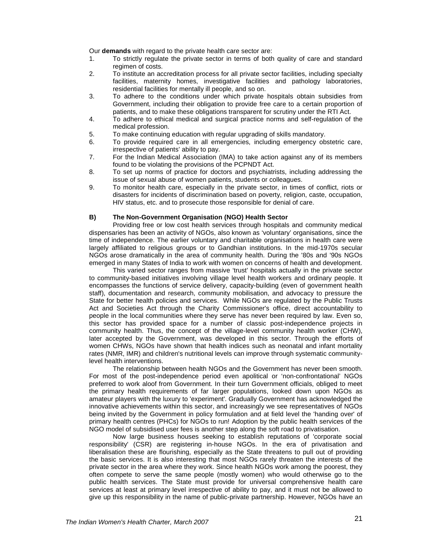Our **demands** with regard to the private health care sector are:

- 1. To strictly regulate the private sector in terms of both quality of care and standard regimen of costs.
- 2. To institute an accreditation process for all private sector facilities, including specialty facilities, maternity homes, investigative facilities and pathology laboratories, residential facilities for mentally ill people, and so on.
- 3. To adhere to the conditions under which private hospitals obtain subsidies from Government, including their obligation to provide free care to a certain proportion of patients, and to make these obligations transparent for scrutiny under the RTI Act.
- 4. To adhere to ethical medical and surgical practice norms and self-regulation of the medical profession.
- 5. To make continuing education with regular upgrading of skills mandatory.
- 6. To provide required care in all emergencies, including emergency obstetric care, irrespective of patients' ability to pay.
- 7. For the Indian Medical Association (IMA) to take action against any of its members found to be violating the provisions of the PCPNDT Act.
- 8. To set up norms of practice for doctors and psychiatrists, including addressing the issue of sexual abuse of women patients, students or colleagues.
- 9. To monitor health care, especially in the private sector, in times of conflict, riots or disasters for incidents of discrimination based on poverty, religion, caste, occupation, HIV status, etc. and to prosecute those responsible for denial of care.

#### **B) The Non-Government Organisation (NGO) Health Sector**

Providing free or low cost health services through hospitals and community medical dispensaries has been an activity of NGOs, also known as 'voluntary' organisations, since the time of independence. The earlier voluntary and charitable organisations in health care were largely affiliated to religious groups or to Gandhian institutions. In the mid-1970s secular NGOs arose dramatically in the area of community health. During the '80s and '90s NGOs emerged in many States of India to work with women on concerns of health and development.

This varied sector ranges from massive 'trust' hospitals actually in the private sector to community-based initiatives involving village level health workers and ordinary people. It encompasses the functions of service delivery, capacity-building (even of government health staff), documentation and research, community mobilisation, and advocacy to pressure the State for better health policies and services. While NGOs are regulated by the Public Trusts Act and Societies Act through the Charity Commissioner's office, direct accountability to people in the local communities where they serve has never been required by law. Even so, this sector has provided space for a number of classic post-independence projects in community health. Thus, the concept of the village-level community health worker (CHW), later accepted by the Government, was developed in this sector. Through the efforts of women CHWs, NGOs have shown that health indices such as neonatal and infant mortality rates (NMR, IMR) and children's nutritional levels can improve through systematic communitylevel health interventions.

The relationship between health NGOs and the Government has never been smooth. For most of the post-independence period even apolitical or 'non-confrontational' NGOs preferred to work aloof from Government. In their turn Government officials, obliged to meet the primary health requirements of far larger populations, looked down upon NGOs as amateur players with the luxury to 'experiment'. Gradually Government has acknowledged the innovative achievements within this sector, and increasingly we see representatives of NGOs being invited by the Government in policy formulation and at field level the 'handing over' of primary health centres (PHCs) for NGOs to run! Adoption by the public health services of the NGO model of subsidised user fees is another step along the soft road to privatisation.

Now large business houses seeking to establish reputations of 'corporate social responsibility' (CSR) are registering in-house NGOs. In the era of privatisation and liberalisation these are flourishing, especially as the State threatens to pull out of providing the basic services. It is also interesting that most NGOs rarely threaten the interests of the private sector in the area where they work. Since health NGOs work among the poorest, they often compete to serve the same people (mostly women) who would otherwise go to the public health services. The State must provide for universal comprehensive health care services at least at primary level irrespective of ability to pay, and it must not be allowed to give up this responsibility in the name of public-private partnership. However, NGOs have an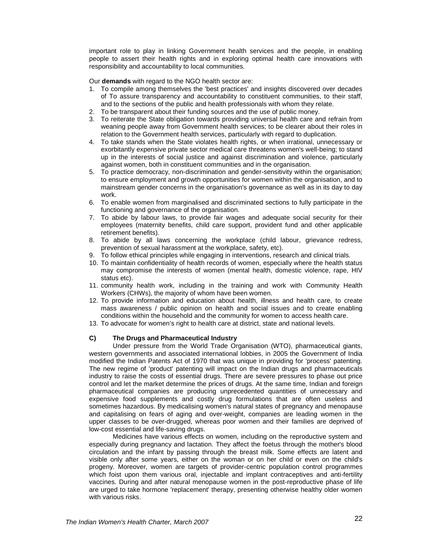important role to play in linking Government health services and the people, in enabling people to assert their health rights and in exploring optimal health care innovations with responsibility and accountability to local communities.

Our **demands** with regard to the NGO health sector are:

- 1. To compile among themselves the 'best practices' and insights discovered over decades of To assure transparency and accountability to constituent communities, to their staff, and to the sections of the public and health professionals with whom they relate.
- 2. To be transparent about their funding sources and the use of public money.
- 3. To reiterate the State obligation towards providing universal health care and refrain from weaning people away from Government health services; to be clearer about their roles in relation to the Government health services, particularly with regard to duplication.
- 4. To take stands when the State violates health rights, or when irrational, unnecessary or exorbitantly expensive private sector medical care threatens women's well-being; to stand up in the interests of social justice and against discrimination and violence, particularly against women, both in constituent communities and in the organisation.
- 5. To practice democracy, non-discrimination and gender-sensitivity within the organisation; to ensure employment and growth opportunities for women within the organisation, and to mainstream gender concerns in the organisation's governance as well as in its day to day work.
- 6. To enable women from marginalised and discriminated sections to fully participate in the functioning and governance of the organisation.
- 7. To abide by labour laws, to provide fair wages and adequate social security for their employees (maternity benefits, child care support, provident fund and other applicable retirement benefits).
- 8. To abide by all laws concerning the workplace (child labour, grievance redress, prevention of sexual harassment at the workplace, safety, etc).
- 9. To follow ethical principles while engaging in interventions, research and clinical trials.
- 10. To maintain confidentiality of health records of women, especially where the health status may compromise the interests of women (mental health, domestic violence, rape, HIV status etc).
- 11. community health work, including in the training and work with Community Health Workers (CHWs), the majority of whom have been women.
- 12. To provide information and education about health, illness and health care, to create mass awareness / public opinion on health and social issues and to create enabling conditions within the household and the community for women to access health care.
- 13. To advocate for women's right to health care at district, state and national levels.

## **C) The Drugs and Pharmaceutical Industry**

Under pressure from the World Trade Organisation (WTO), pharmaceutical giants, western governments and associated international lobbies, in 2005 the Government of India modified the Indian Patents Act of 1970 that was unique in providing for 'process' patenting. The new regime of 'product' patenting will impact on the Indian drugs and pharmaceuticals industry to raise the costs of essential drugs. There are severe pressures to phase out price control and let the market determine the prices of drugs. At the same time, Indian and foreign pharmaceutical companies are producing unprecedented quantities of unnecessary and expensive food supplements and costly drug formulations that are often useless and sometimes hazardous. By medicalising women's natural states of pregnancy and menopause and capitalising on fears of aging and over-weight, companies are leading women in the upper classes to be over-drugged, whereas poor women and their families are deprived of low-cost essential and life-saving drugs.

Medicines have various effects on women, including on the reproductive system and especially during pregnancy and lactation. They affect the foetus through the mother's blood circulation and the infant by passing through the breast milk. Some effects are latent and visible only after some years, either on the woman or on her child or even on the child's progeny. Moreover, women are targets of provider-centric population control programmes which foist upon them various oral, injectable and implant contraceptives and anti-fertility vaccines. During and after natural menopause women in the post-reproductive phase of life are urged to take hormone 'replacement' therapy, presenting otherwise healthy older women with various risks.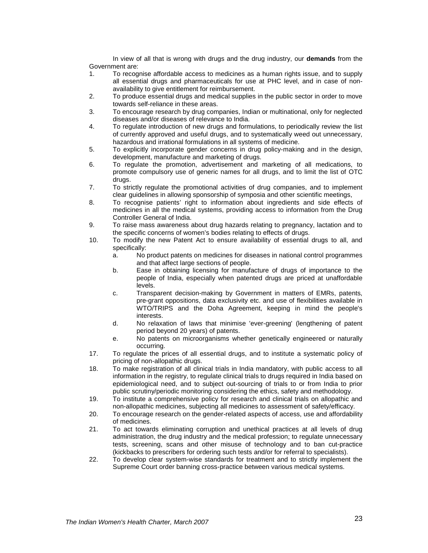In view of all that is wrong with drugs and the drug industry, our **demands** from the Government are:

- 1. To recognise affordable access to medicines as a human rights issue, and to supply all essential drugs and pharmaceuticals for use at PHC level, and in case of nonavailability to give entitlement for reimbursement.
- 2. To produce essential drugs and medical supplies in the public sector in order to move towards self-reliance in these areas.
- 3. To encourage research by drug companies, Indian or multinational, only for neglected diseases and/or diseases of relevance to India.
- 4. To regulate introduction of new drugs and formulations, to periodically review the list of currently approved and useful drugs, and to systematically weed out unnecessary, hazardous and irrational formulations in all systems of medicine.
- 5. To explicitly incorporate gender concerns in drug policy-making and in the design, development, manufacture and marketing of drugs.
- 6. To regulate the promotion, advertisement and marketing of all medications, to promote compulsory use of generic names for all drugs, and to limit the list of OTC drugs.
- 7. To strictly regulate the promotional activities of drug companies, and to implement clear guidelines in allowing sponsorship of symposia and other scientific meetings,
- 8. To recognise patients' right to information about ingredients and side effects of medicines in all the medical systems, providing access to information from the Drug Controller General of India.
- 9. To raise mass awareness about drug hazards relating to pregnancy, lactation and to the specific concerns of women's bodies relating to effects of drugs.
- 10. To modify the new Patent Act to ensure availability of essential drugs to all, and specifically:
	- a. No product patents on medicines for diseases in national control programmes and that affect large sections of people.
	- b. Ease in obtaining licensing for manufacture of drugs of importance to the people of India, especially when patented drugs are priced at unaffordable levels.
	- c. Transparent decision-making by Government in matters of EMRs, patents, pre-grant oppositions, data exclusivity etc. and use of flexibilities available in WTO/TRIPS and the Doha Agreement, keeping in mind the people's interests.
	- d. No relaxation of laws that minimise 'ever-greening' (lengthening of patent period beyond 20 years) of patents.
	- e. No patents on microorganisms whether genetically engineered or naturally occurring.
- 17. To regulate the prices of all essential drugs, and to institute a systematic policy of pricing of non-allopathic drugs.
- 18. To make registration of all clinical trials in India mandatory, with public access to all information in the registry, to regulate clinical trials to drugs required in India based on epidemiological need, and to subject out-sourcing of trials to or from India to prior public scrutiny/periodic monitoring considering the ethics, safety and methodology.
- 19. To institute a comprehensive policy for research and clinical trials on allopathic and non-allopathic medicines, subjecting all medicines to assessment of safety/efficacy.
- 20. To encourage research on the gender-related aspects of access, use and affordability of medicines.
- 21. To act towards eliminating corruption and unethical practices at all levels of drug administration, the drug industry and the medical profession; to regulate unnecessary tests, screening, scans and other misuse of technology and to ban cut-practice (kickbacks to prescribers for ordering such tests and/or for referral to specialists).
- 22. To develop clear system-wise standards for treatment and to strictly implement the Supreme Court order banning cross-practice between various medical systems.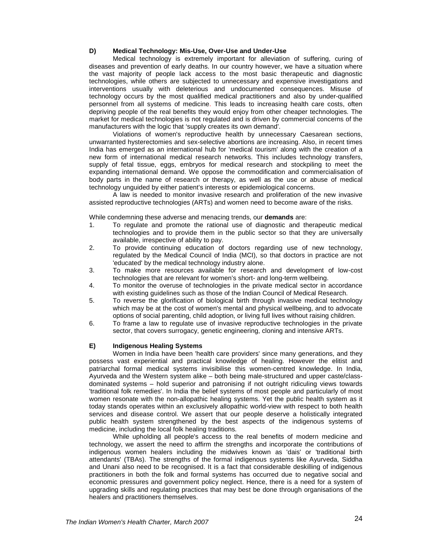#### **D) Medical Technology: Mis-Use, Over-Use and Under-Use**

Medical technology is extremely important for alleviation of suffering, curing of diseases and prevention of early deaths. In our country however, we have a situation where the vast majority of people lack access to the most basic therapeutic and diagnostic technologies, while others are subjected to unnecessary and expensive investigations and interventions usually with deleterious and undocumented consequences. Misuse of technology occurs by the most qualified medical practitioners and also by under-qualified personnel from all systems of medicine. This leads to increasing health care costs, often depriving people of the real benefits they would enjoy from other cheaper technologies. The market for medical technologies is not regulated and is driven by commercial concerns of the manufacturers with the logic that 'supply creates its own demand'.

Violations of women's reproductive health by unnecessary Caesarean sections, unwarranted hysterectomies and sex-selective abortions are increasing. Also, in recent times India has emerged as an international hub for 'medical tourism' along with the creation of a new form of international medical research networks. This includes technology transfers, supply of fetal tissue, eggs, embryos for medical research and stockpiling to meet the expanding international demand. We oppose the commodification and commercialisation of body parts in the name of research or therapy, as well as the use or abuse of medical technology unguided by either patient's interests or epidemiological concerns.

A law is needed to monitor invasive research and proliferation of the new invasive assisted reproductive technologies (ARTs) and women need to become aware of the risks.

While condemning these adverse and menacing trends, our **demands** are:

- 1. To regulate and promote the rational use of diagnostic and therapeutic medical technologies and to provide them in the public sector so that they are universally available, irrespective of ability to pay.
- 2. To provide continuing education of doctors regarding use of new technology, regulated by the Medical Council of India (MCI), so that doctors in practice are not 'educated' by the medical technology industry alone.
- 3. To make more resources available for research and development of low-cost technologies that are relevant for women's short- and long-term wellbeing.
- 4. To monitor the overuse of technologies in the private medical sector in accordance with existing guidelines such as those of the Indian Council of Medical Research.
- 5. To reverse the glorification of biological birth through invasive medical technology which may be at the cost of women's mental and physical wellbeing, and to advocate options of social parenting, child adoption, or living full lives without raising children.
- 6. To frame a law to regulate use of invasive reproductive technologies in the private sector, that covers surrogacy, genetic engineering, cloning and intensive ARTs.

#### **E) Indigenous Healing Systems**

Women in India have been 'health care providers' since many generations, and they possess vast experiential and practical knowledge of healing. However the elitist and patriarchal formal medical systems invisibilise this women-centred knowledge. In India, Ayurveda and the Western system alike – both being male-structured and upper caste/classdominated systems – hold superior and patronising if not outright ridiculing views towards 'traditional folk remedies'. In India the belief systems of most people and particularly of most women resonate with the non-allopathic healing systems. Yet the public health system as it today stands operates within an exclusively allopathic world-view with respect to both health services and disease control. We assert that our people deserve a holistically integrated public health system strengthened by the best aspects of the indigenous systems of medicine, including the local folk healing traditions.

While upholding all people's access to the real benefits of modern medicine and technology, we assert the need to affirm the strengths and incorporate the contributions of indigenous women healers including the midwives known as 'dais' or 'traditional birth attendants' (TBAs). The strengths of the formal indigenous systems like Ayurveda, Siddha and Unani also need to be recognised. It is a fact that considerable deskilling of indigenous practitioners in both the folk and formal systems has occurred due to negative social and economic pressures and government policy neglect. Hence, there is a need for a system of upgrading skills and regulating practices that may best be done through organisations of the healers and practitioners themselves.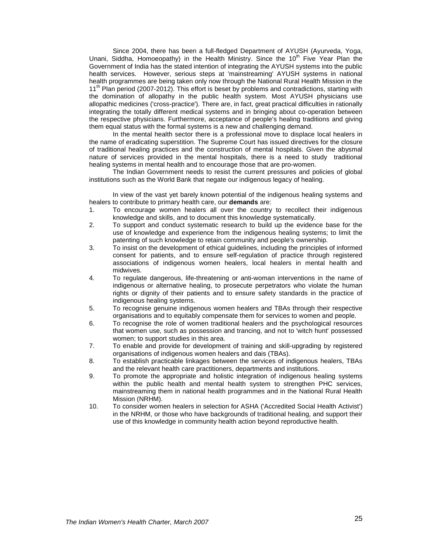Since 2004, there has been a full-fledged Department of AYUSH (Ayurveda, Yoga, Unani, Siddha, Homoeopathy) in the Health Ministry. Since the 10<sup>th</sup> Five Year Plan the Government of India has the stated intention of integrating the AYUSH systems into the public health services. However, serious steps at 'mainstreaming' AYUSH systems in national health programmes are being taken only now through the National Rural Health Mission in the 11<sup>th</sup> Plan period (2007-2012). This effort is beset by problems and contradictions, starting with the domination of allopathy in the public health system. Most AYUSH physicians use allopathic medicines ('cross-practice'). There are, in fact, great practical difficulties in rationally integrating the totally different medical systems and in bringing about co-operation between the respective physicians. Furthermore, acceptance of people's healing traditions and giving them equal status with the formal systems is a new and challenging demand.

In the mental health sector there is a professional move to displace local healers in the name of eradicating superstition. The Supreme Court has issued directives for the closure of traditional healing practices and the construction of mental hospitals. Given the abysmal nature of services provided in the mental hospitals, there is a need to study traditional healing systems in mental health and to encourage those that are pro-women.

The Indian Government needs to resist the current pressures and policies of global institutions such as the World Bank that negate our indigenous legacy of healing.

In view of the vast yet barely known potential of the indigenous healing systems and healers to contribute to primary health care, our **demands** are:

- 1. To encourage women healers all over the country to recollect their indigenous knowledge and skills, and to document this knowledge systematically.
- 2. To support and conduct systematic research to build up the evidence base for the use of knowledge and experience from the indigenous healing systems; to limit the patenting of such knowledge to retain community and people's ownership.
- 3. To insist on the development of ethical guidelines, including the principles of informed consent for patients, and to ensure self-regulation of practice through registered associations of indigenous women healers, local healers in mental health and midwives.
- 4. To regulate dangerous, life-threatening or anti-woman interventions in the name of indigenous or alternative healing, to prosecute perpetrators who violate the human rights or dignity of their patients and to ensure safety standards in the practice of indigenous healing systems.
- 5. To recognise genuine indigenous women healers and TBAs through their respective organisations and to equitably compensate them for services to women and people.
- 6. To recognise the role of women traditional healers and the psychological resources that women use, such as possession and trancing, and not to 'witch hunt' possessed women; to support studies in this area.
- 7. To enable and provide for development of training and skill-upgrading by registered organisations of indigenous women healers and dais (TBAs).
- 8. To establish practicable linkages between the services of indigenous healers, TBAs and the relevant health care practitioners, departments and institutions.
- 9. To promote the appropriate and holistic integration of indigenous healing systems within the public health and mental health system to strengthen PHC services, mainstreaming them in national health programmes and in the National Rural Health Mission (NRHM).
- 10. To consider women healers in selection for ASHA ('Accredited Social Health Activist') in the NRHM, or those who have backgrounds of traditional healing, and support their use of this knowledge in community health action beyond reproductive health.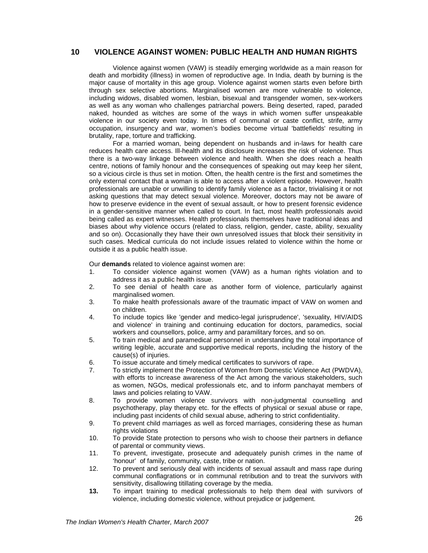## **10 VIOLENCE AGAINST WOMEN: PUBLIC HEALTH AND HUMAN RIGHTS**

Violence against women (VAW) is steadily emerging worldwide as a main reason for death and morbidity (illness) in women of reproductive age. In India, death by burning is the major cause of mortality in this age group. Violence against women starts even before birth through sex selective abortions. Marginalised women are more vulnerable to violence, including widows, disabled women, lesbian, bisexual and transgender women, sex-workers as well as any woman who challenges patriarchal powers. Being deserted, raped, paraded naked, hounded as witches are some of the ways in which women suffer unspeakable violence in our society even today. In times of communal or caste conflict, strife, army occupation, insurgency and war, women's bodies become virtual 'battlefields' resulting in brutality, rape, torture and trafficking.

For a married woman, being dependent on husbands and in-laws for health care reduces health care access. Ill-health and its disclosure increases the risk of violence. Thus there is a two-way linkage between violence and health. When she does reach a health centre, notions of family honour and the consequences of speaking out may keep her silent, so a vicious circle is thus set in motion. Often, the health centre is the first and sometimes the only external contact that a woman is able to access after a violent episode. However, health professionals are unable or unwilling to identify family violence as a factor, trivialising it or not asking questions that may detect sexual violence. Moreover, doctors may not be aware of how to preserve evidence in the event of sexual assault, or how to present forensic evidence in a gender-sensitive manner when called to court. In fact, most health professionals avoid being called as expert witnesses. Health professionals themselves have traditional ideas and biases about why violence occurs (related to class, religion, gender, caste, ability, sexuality and so on). Occasionally they have their own unresolved issues that block their sensitivity in such cases. Medical curricula do not include issues related to violence within the home or outside it as a public health issue.

Our **demands** related to violence against women are:

- 1. To consider violence against women (VAW) as a human rights violation and to address it as a public health issue.
- 2. To see denial of health care as another form of violence, particularly against marginalised women.
- 3. To make health professionals aware of the traumatic impact of VAW on women and on children.
- 4. To include topics like 'gender and medico-legal jurisprudence', 'sexuality, HIV/AIDS and violence' in training and continuing education for doctors, paramedics, social workers and counsellors, police, army and paramilitary forces, and so on.
- 5. To train medical and paramedical personnel in understanding the total importance of writing legible, accurate and supportive medical reports, including the history of the cause(s) of injuries.
- 6. To issue accurate and timely medical certificates to survivors of rape.
- 7. To strictly implement the Protection of Women from Domestic Violence Act (PWDVA), with efforts to increase awareness of the Act among the various stakeholders, such as women, NGOs, medical professionals etc, and to inform panchayat members of laws and policies relating to VAW.
- 8. To provide women violence survivors with non-judgmental counselling and psychotherapy, play therapy etc. for the effects of physical or sexual abuse or rape, including past incidents of child sexual abuse, adhering to strict confidentiality.
- 9. To prevent child marriages as well as forced marriages, considering these as human rights violations
- 10. To provide State protection to persons who wish to choose their partners in defiance of parental or community views.
- 11. To prevent, investigate, prosecute and adequately punish crimes in the name of 'honour' of family, community, caste, tribe or nation.
- 12. To prevent and seriously deal with incidents of sexual assault and mass rape during communal conflagrations or in communal retribution and to treat the survivors with sensitivity, disallowing titillating coverage by the media.
- **13.** To impart training to medical professionals to help them deal with survivors of violence, including domestic violence, without prejudice or judgement.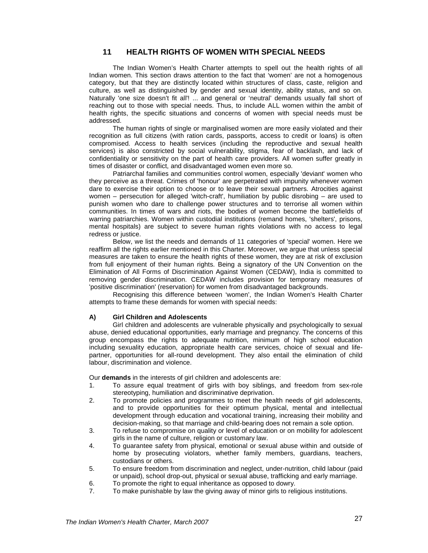## **11 HEALTH RIGHTS OF WOMEN WITH SPECIAL NEEDS**

The Indian Women's Health Charter attempts to spell out the health rights of all Indian women. This section draws attention to the fact that 'women' are not a homogenous category, but that they are distinctly located within structures of class, caste, religion and culture, as well as distinguished by gender and sexual identity, ability status, and so on. Naturally 'one size doesn't fit all'! ... and general or 'neutral' demands usually fall short of reaching out to those with special needs. Thus, to include ALL women within the ambit of health rights, the specific situations and concerns of women with special needs must be addressed.

The human rights of single or marginalised women are more easily violated and their recognition as full citizens (with ration cards, passports, access to credit or loans) is often compromised. Access to health services (including the reproductive and sexual health services) is also constricted by social vulnerability, stigma, fear of backlash, and lack of confidentiality or sensitivity on the part of health care providers. All women suffer greatly in times of disaster or conflict, and disadvantaged women even more so.

Patriarchal families and communities control women, especially 'deviant' women who they perceive as a threat. Crimes of 'honour' are perpetrated with impunity whenever women dare to exercise their option to choose or to leave their sexual partners. Atrocities against women – persecution for alleged 'witch-craft', humiliation by public disrobing – are used to punish women who dare to challenge power structures and to terrorise all women within communities. In times of wars and riots, the bodies of women become the battlefields of warring patriarchies. Women within custodial institutions (remand homes, 'shelters', prisons, mental hospitals) are subject to severe human rights violations with no access to legal redress or justice.

Below, we list the needs and demands of 11 categories of 'special' women. Here we reaffirm all the rights earlier mentioned in this Charter. Moreover, we argue that unless special measures are taken to ensure the health rights of these women, they are at risk of exclusion from full enjoyment of their human rights. Being a signatory of the UN Convention on the Elimination of All Forms of Discrimination Against Women (CEDAW), India is committed to removing gender discrimination. CEDAW includes provision for temporary measures of 'positive discrimination' (reservation) for women from disadvantaged backgrounds.

Recognising this difference between 'women', the Indian Women's Health Charter attempts to frame these demands for women with special needs:

#### **A) Girl Children and Adolescents**

Girl children and adolescents are vulnerable physically and psychologically to sexual abuse, denied educational opportunities, early marriage and pregnancy. The concerns of this group encompass the rights to adequate nutrition, minimum of high school education including sexuality education, appropriate health care services, choice of sexual and lifepartner, opportunities for all-round development. They also entail the elimination of child labour, discrimination and violence.

Our **demands** in the interests of girl children and adolescents are:

- 1. To assure equal treatment of girls with boy siblings, and freedom from sex-role stereotyping, humiliation and discriminative deprivation.
- 2. To promote policies and programmes to meet the health needs of girl adolescents, and to provide opportunities for their optimum physical, mental and intellectual development through education and vocational training, increasing their mobility and decision-making, so that marriage and child-bearing does not remain a sole option.
- 3. To refuse to compromise on quality or level of education or on mobility for adolescent girls in the name of culture, religion or customary law.
- 4. To guarantee safety from physical, emotional or sexual abuse within and outside of home by prosecuting violators, whether family members, guardians, teachers, custodians or others.
- 5. To ensure freedom from discrimination and neglect, under-nutrition, child labour (paid or unpaid), school drop-out, physical or sexual abuse, trafficking and early marriage.
- 6. To promote the right to equal inheritance as opposed to dowry.<br>To make punishable by law the giving away of minor girls to reli
- To make punishable by law the giving away of minor girls to religious institutions.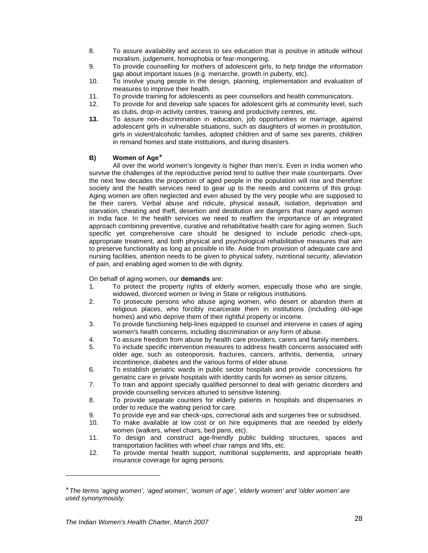- 8. To assure availability and access to sex education that is positive in attitude without moralism, judgement, homophobia or fear-mongering.
- 9. To provide counselling for mothers of adolescent girls, to help bridge the information gap about important issues (e.g. menarche, growth in puberty, etc).
- 10. To involve young people in the design, planning, implementation and evaluation of measures to improve their health.
- 11. To provide training for adolescents as peer counsellors and health communicators.<br>12. To provide for and develop safe spaces for adolescent girls at community level, su
- To provide for and develop safe spaces for adolescent girls at community level, such as clubs, drop-in activity centres, training and productivity centres, etc.
- **13.** To assure non-discrimination in education, job opportunities or marriage, against adolescent girls in vulnerable situations, such as daughters of women in prostitution, girls in violent/alcoholic families, adopted children and of same sex parents, children in remand homes and state institutions, and during disasters.

## B) Women of Age<sup>\*</sup>

All over the world women's longevity is higher than men's. Even in India women who survive the challenges of the reproductive period tend to outlive their male counterparts. Over the next few decades the proportion of aged people in the population will rise and therefore society and the health services need to gear up to the needs and concerns of this group. Aging women are often neglected and even abused by the very people who are supposed to be their carers. Verbal abuse and ridicule, physical assault, isolation, deprivation and starvation, cheating and theft, desertion and destitution are dangers that many aged women in India face. In the health services we need to reaffirm the importance of an integrated approach combining preventive, curative and rehabilitative health care for aging women. Such specific yet comprehensive care should be designed to include periodic check-ups, appropriate treatment, and both physical and psychological rehabilitative measures that aim to preserve functionality as long as possible in life. Aside from provision of adequate care and nursing facilities, attention needs to be given to physical safety, nutritional security, alleviation of pain, and enabling aged women to die with dignity.

On behalf of aging women, our **demands** are:

- 1. To protect the property rights of elderly women, especially those who are single, widowed, divorced women or living in State or religious institutions.
- 2. To prosecute persons who abuse aging women, who desert or abandon them at religious places, who forcibly incarcerate them in institutions (including old-age homes) and who deprive them of their rightful property or income.
- 3. To provide functioning help-lines equipped to counsel and intervene in cases of aging women's health concerns, including discrimination or any form of abuse.
- 4. To assure freedom from abuse by health care providers, carers and family members.
- 5. To include specific intervention measures to address health concerns associated with older age, such as osteoporosis, fractures, cancers, arthritis, dementia, urinary incontinence, diabetes and the various forms of elder abuse.
- 6. To establish geriatric wards in public sector hospitals and provide concessions for geriatric care in private hospitals with identity cards for women as senior citizens.
- 7. To train and appoint specially qualified personnel to deal with geriatric disorders and provide counselling services attuned to sensitive listening.
- 8. To provide separate counters for elderly patients in hospitals and dispensaries in order to reduce the waiting period for care.
- 9. To provide eye and ear check-ups, correctional aids and surgeries free or subsidised.<br>10. To make available at low cost or on hire equipments that are needed by elderly
- 10. To make available at low cost or on hire equipments that are needed by elderly women (walkers, wheel chairs, bed pans, etc).
- 11. To design and construct age-friendly public building structures, spaces and transportation facilities with wheel chair ramps and lifts, etc.
- 12. To provide mental health support, nutritional supplements, and appropriate health insurance coverage for aging persons.

<sup>∗</sup> The terms 'aging women', 'aged women', 'women of age', 'elderly women' and 'older women' are used synonymously.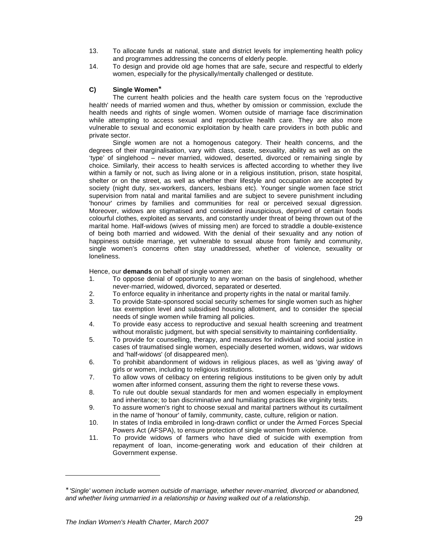- 13. To allocate funds at national, state and district levels for implementing health policy and programmes addressing the concerns of elderly people.
- 14. To design and provide old age homes that are safe, secure and respectful to elderly women, especially for the physically/mentally challenged or destitute.

## **C) Single Women** ∗

The current health policies and the health care system focus on the 'reproductive health' needs of married women and thus, whether by omission or commission, exclude the health needs and rights of single women. Women outside of marriage face discrimination while attempting to access sexual and reproductive health care. They are also more vulnerable to sexual and economic exploitation by health care providers in both public and private sector.

Single women are not a homogenous category. Their health concerns, and the degrees of their marginalisation, vary with class, caste, sexuality, ability as well as on the 'type' of singlehood – never married, widowed, deserted, divorced or remaining single by choice. Similarly, their access to health services is affected according to whether they live within a family or not, such as living alone or in a religious institution, prison, state hospital, shelter or on the street, as well as whether their lifestyle and occupation are accepted by society (night duty, sex-workers, dancers, lesbians etc). Younger single women face strict supervision from natal and marital families and are subject to severe punishment including 'honour' crimes by families and communities for real or perceived sexual digression. Moreover, widows are stigmatised and considered inauspicious, deprived of certain foods colourful clothes, exploited as servants, and constantly under threat of being thrown out of the marital home. Half-widows (wives of missing men) are forced to straddle a double-existence of being both married and widowed. With the denial of their sexuality and any notion of happiness outside marriage, yet vulnerable to sexual abuse from family and community, single women's concerns often stay unaddressed, whether of violence, sexuality or loneliness.

Hence, our **demands** on behalf of single women are:

- 1. To oppose denial of opportunity to any woman on the basis of singlehood, whether never-married, widowed, divorced, separated or deserted.
- 2. To enforce equality in inheritance and property rights in the natal or marital family.
- 3. To provide State-sponsored social security schemes for single women such as higher tax exemption level and subsidised housing allotment, and to consider the special needs of single women while framing all policies.
- 4. To provide easy access to reproductive and sexual health screening and treatment without moralistic judgment, but with special sensitivity to maintaining confidentiality.
- 5. To provide for counselling, therapy, and measures for individual and social justice in cases of traumatised single women, especially deserted women, widows, war widows and 'half-widows' (of disappeared men).
- 6. To prohibit abandonment of widows in religious places, as well as 'giving away' of girls or women, including to religious institutions.
- 7. To allow vows of celibacy on entering religious institutions to be given only by adult women after informed consent, assuring them the right to reverse these vows.
- 8. To rule out double sexual standards for men and women especially in employment and inheritance; to ban discriminative and humiliating practices like virginity tests.
- 9. To assure women's right to choose sexual and marital partners without its curtailment in the name of 'honour' of family, community, caste, culture, religion or nation.
- 10. In states of India embroiled in long-drawn conflict or under the Armed Forces Special Powers Act (AFSPA), to ensure protection of single women from violence.
- 11. To provide widows of farmers who have died of suicide with exemption from repayment of loan, income-generating work and education of their children at Government expense.

<sup>∗</sup> 'Single' women include women outside of marriage, whether never-married, divorced or abandoned, and whether living unmarried in a relationship or having walked out of a relationship.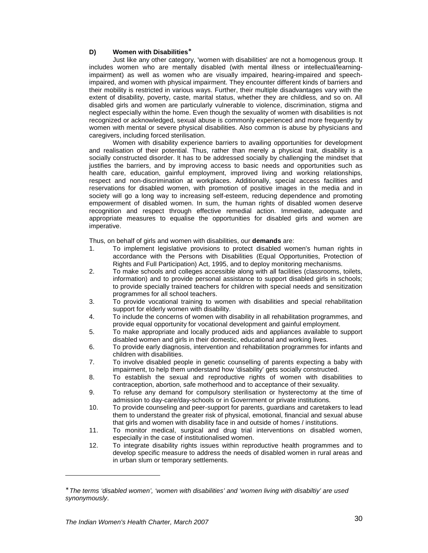### **D) Women with Disabilities**<sup>∗</sup>

Just like any other category, 'women with disabilities' are not a homogenous group. It includes women who are mentally disabled (with mental illness or intellectual/learningimpairment) as well as women who are visually impaired, hearing-impaired and speechimpaired, and women with physical impairment. They encounter different kinds of barriers and their mobility is restricted in various ways. Further, their multiple disadvantages vary with the extent of disability, poverty, caste, marital status, whether they are childless, and so on. All disabled girls and women are particularly vulnerable to violence, discrimination, stigma and neglect especially within the home. Even though the sexuality of women with disabilities is not recognized or acknowledged, sexual abuse is commonly experienced and more frequently by women with mental or severe physical disabilities. Also common is abuse by physicians and caregivers, including forced sterilisation.

Women with disability experience barriers to availing opportunities for development and realisation of their potential. Thus, rather than merely a physical trait, disability is a socially constructed disorder. It has to be addressed socially by challenging the mindset that justifies the barriers, and by improving access to basic needs and opportunities such as health care, education, gainful employment, improved living and working relationships, respect and non-discrimination at workplaces. Additionally, special access facilities and reservations for disabled women, with promotion of positive images in the media and in society will go a long way to increasing self-esteem, reducing dependence and promoting empowerment of disabled women. In sum, the human rights of disabled women deserve recognition and respect through effective remedial action. Immediate, adequate and appropriate measures to equalise the opportunities for disabled girls and women are imperative.

Thus, on behalf of girls and women with disabilities, our **demands** are:

- 1. To implement legislative provisions to protect disabled women's human rights in accordance with the Persons with Disabilities (Equal Opportunities, Protection of Rights and Full Participation) Act, 1995, and to deploy monitoring mechanisms.
- 2. To make schools and colleges accessible along with all facilities (classrooms, toilets, information) and to provide personal assistance to support disabled girls in schools; to provide specially trained teachers for children with special needs and sensitization programmes for all school teachers.
- 3. To provide vocational training to women with disabilities and special rehabilitation support for elderly women with disability.
- 4. To include the concerns of women with disability in all rehabilitation programmes, and provide equal opportunity for vocational development and gainful employment.
- 5. To make appropriate and locally produced aids and appliances available to support disabled women and girls in their domestic, educational and working lives.
- 6. To provide early diagnosis, intervention and rehabilitation programmes for infants and children with disabilities.
- 7. To involve disabled people in genetic counselling of parents expecting a baby with impairment, to help them understand how 'disability' gets socially constructed.
- 8. To establish the sexual and reproductive rights of women with disabilities to contraception, abortion, safe motherhood and to acceptance of their sexuality.
- 9. To refuse any demand for compulsory sterilisation or hysterectomy at the time of admission to day-care/day-schools or in Government or private institutions.
- 10. To provide counseling and peer-support for parents, guardians and caretakers to lead them to understand the greater risk of physical, emotional, financial and sexual abuse that girls and women with disability face in and outside of homes / institutions.
- 11. To monitor medical, surgical and drug trial interventions on disabled women, especially in the case of institutionalised women.
- 12. To integrate disability rights issues within reproductive health programmes and to develop specific measure to address the needs of disabled women in rural areas and in urban slum or temporary settlements.

<sup>∗</sup> The terms 'disabled women', 'women with disabilities' and 'women living with disabiltiy' are used synonymously.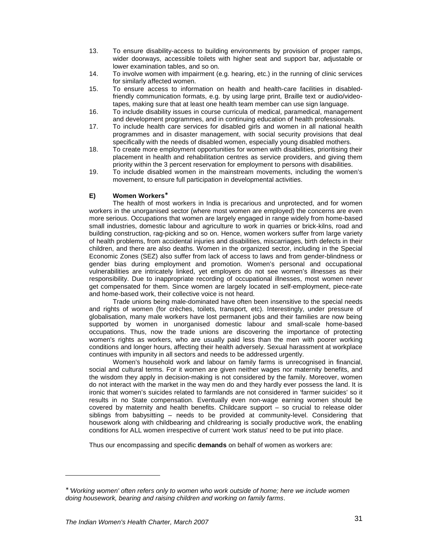- 13. To ensure disability-access to building environments by provision of proper ramps, wider doorways, accessible toilets with higher seat and support bar, adjustable or lower examination tables, and so on.
- 14. To involve women with impairment (e.g. hearing, etc.) in the running of clinic services for similarly affected women.
- 15. To ensure access to information on health and health-care facilities in disabledfriendly communication formats, e.g. by using large print, Braille text or audio/videotapes, making sure that at least one health team member can use sign language.
- 16. To include disability issues in course curricula of medical, paramedical, management and development programmes, and in continuing education of health professionals.
- 17. To include health care services for disabled girls and women in all national health programmes and in disaster management, with social security provisions that deal specifically with the needs of disabled women, especially young disabled mothers.
- 18. To create more employment opportunities for women with disabilities, prioritising their placement in health and rehabilitation centres as service providers, and giving them priority within the 3 percent reservation for employment to persons with disabilities.
- 19. To include disabled women in the mainstream movements, including the women's movement, to ensure full participation in developmental activities.

#### **E) Women Workers** ∗

The health of most workers in India is precarious and unprotected, and for women workers in the unorganised sector (where most women are employed) the concerns are even more serious. Occupations that women are largely engaged in range widely from home-based small industries, domestic labour and agriculture to work in quarries or brick-kilns, road and building construction, rag-picking and so on. Hence, women workers suffer from large variety of health problems, from accidental injuries and disabilities, miscarriages, birth defects in their children, and there are also deaths. Women in the organized sector, including in the Special Economic Zones (SEZ) also suffer from lack of access to laws and from gender-blindness or gender bias during employment and promotion. Women's personal and occupational vulnerabilities are intricately linked, yet employers do not see women's illnesses as their responsibility. Due to inappropriate recording of occupational illnesses, most women never get compensated for them. Since women are largely located in self-employment, piece-rate and home-based work, their collective voice is not heard.

Trade unions being male-dominated have often been insensitive to the special needs and rights of women (for crèches, toilets, transport, etc). Interestingly, under pressure of globalisation, many male workers have lost permanent jobs and their families are now being supported by women in unorganised domestic labour and small-scale home-based occupations. Thus, now the trade unions are discovering the importance of protecting women's rights as workers, who are usually paid less than the men with poorer working conditions and longer hours, affecting their health adversely. Sexual harassment at workplace continues with impunity in all sectors and needs to be addressed urgently.

Women's household work and labour on family farms is unrecognised in financial, social and cultural terms. For it women are given neither wages nor maternity benefits, and the wisdom they apply in decision-making is not considered by the family. Moreover, women do not interact with the market in the way men do and they hardly ever possess the land. It is ironic that women's suicides related to farmlands are not considered in 'farmer suicides' so it results in no State compensation. Eventually even non-wage earning women should be covered by maternity and health benefits. Childcare support – so crucial to release older siblings from babysitting – needs to be provided at community-level. Considering that housework along with childbearing and childrearing is socially productive work, the enabling conditions for ALL women irrespective of current 'work status' need to be put into place.

Thus our encompassing and specific **demands** on behalf of women as workers are:

<sup>∗</sup> 'Working women' often refers only to women who work outside of home; here we include women doing housework, bearing and raising children and working on family farms.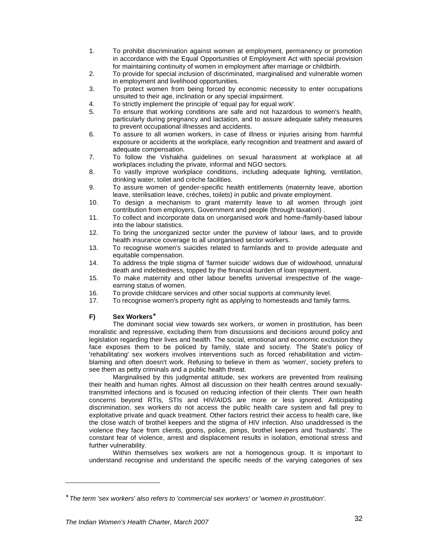- 1. To prohibit discrimination against women at employment, permanency or promotion in accordance with the Equal Opportunities of Employment Act with special provision for maintaining continuity of women in employment after marriage or childbirth.
- 2. To provide for special inclusion of discriminated, marginalised and vulnerable women in employment and livelihood opportunities.
- 3. To protect women from being forced by economic necessity to enter occupations unsuited to their age, inclination or any special impairment.
- 4. To strictly implement the principle of 'equal pay for equal work'.
- 5. To ensure that working conditions are safe and not hazardous to women's health, particularly during pregnancy and lactation, and to assure adequate safety measures to prevent occupational illnesses and accidents.
- 6. To assure to all women workers, in case of illness or injuries arising from harmful exposure or accidents at the workplace, early recognition and treatment and award of adequate compensation.
- 7. To follow the Vishakha guidelines on sexual harassment at workplace at all workplaces including the private, informal and NGO sectors.
- 8. To vastly improve workplace conditions, including adequate lighting, ventilation, drinking water, toilet and crèche facilities.
- 9. To assure women of gender-specific health entitlements (maternity leave, abortion leave, sterilisation leave, crèches, toilets) in public and private employment.
- 10. To design a mechanism to grant maternity leave to all women through joint contribution from employers, Government and people (through taxation) .
- 11. To collect and incorporate data on unorganised work and home-/family-based labour into the labour statistics.
- 12. To bring the unorganized sector under the purview of labour laws, and to provide health insurance coverage to all unorganised sector workers.
- 13. To recognise women's suicides related to farmlands and to provide adequate and equitable compensation.
- 14. To address the triple stigma of 'farmer suicide' widows due of widowhood, unnatural death and indebtedness, topped by the financial burden of loan repayment.
- 15. To make maternity and other labour benefits universal irrespective of the wageearning status of women.
- 16. To provide childcare services and other social supports at community level.
- 17. To recognise women's property right as applying to homesteads and family farms.

## **F) Sex Workers** ∗

The dominant social view towards sex workers, or women in prostitution, has been moralistic and repressive, excluding them from discussions and decisions around policy and legislation regarding their lives and health. The social, emotional and economic exclusion they face exposes them to be policed by family, state and society. The State's policy of 'rehabilitating' sex workers involves interventions such as forced rehabilitation and victimblaming and often doesn't work. Refusing to believe in them as 'women', society prefers to see them as petty criminals and a public health threat.

Marginalised by this judgmental attitude, sex workers are prevented from realising their health and human rights. Almost all discussion on their health centres around sexuallytransmitted infections and is focused on reducing infection of their clients. Their own health concerns beyond RTIs, STIs and HIV/AIDS are more or less ignored. Anticipating discrimination, sex workers do not access the public health care system and fall prey to exploitative private and quack treatment. Other factors restrict their access to health care, like the close watch of brothel keepers and the stigma of HIV infection. Also unaddressed is the violence they face from clients, goons, police, pimps, brothel keepers and 'husbands'. The constant fear of violence, arrest and displacement results in isolation, emotional stress and further vulnerability.

Within themselves sex workers are not a homogenous group. It is important to understand recognise and understand the specific needs of the varying categories of sex

 $\overline{a}$ 

<sup>∗</sup> The term 'sex workers' also refers to 'commercial sex workers' or 'women in prostitution'.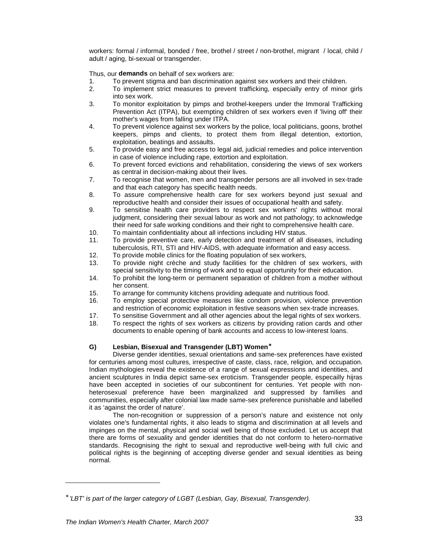workers: formal / informal, bonded / free, brothel / street / non-brothel, migrant / local, child / adult / aging, bi-sexual or transgender.

Thus, our **demands** on behalf of sex workers are:

- 1. To prevent stigma and ban discrimination against sex workers and their children.<br>2. To implement strict measures to prevent trafficking. especially entry of minor
- To implement strict measures to prevent trafficking, especially entry of minor girls into sex work.
- 3. To monitor exploitation by pimps and brothel-keepers under the Immoral Trafficking Prevention Act (ITPA), but exempting children of sex workers even if 'living off' their mother's wages from falling under ITPA.
- 4. To prevent violence against sex workers by the police, local politicians, goons, brothel keepers, pimps and clients, to protect them from illegal detention, extortion, exploitation, beatings and assaults.
- 5. To provide easy and free access to legal aid, judicial remedies and police intervention in case of violence including rape, extortion and exploitation.
- 6. To prevent forced evictions and rehabilitation, considering the views of sex workers as central in decision-making about their lives.
- 7. To recognise that women, men and transgender persons are all involved in sex-trade and that each category has specific health needs.
- 8. To assure comprehensive health care for sex workers beyond just sexual and reproductive health and consider their issues of occupational health and safety.
- 9. To sensitise health care providers to respect sex workers' rights without moral judgment, considering their sexual labour as work and not pathology; to acknowledge their need for safe working conditions and their right to comprehensive health care.
- 10. To maintain confidentiality about all infections including HIV status.
- 11. To provide preventive care, early detection and treatment of all diseases, including tuberculosis, RTI, STI and HIV-AIDS, with adequate information and easy access.
- 12. To provide mobile clinics for the floating population of sex workers,
- 13. To provide night crèche and study facilities for the children of sex workers, with special sensitivity to the timing of work and to equal opportunity for their education.
- 14. To prohibit the long-term or permanent separation of children from a mother without her consent.
- 15. To arrange for community kitchens providing adequate and nutritious food.
- 16. To employ special protective measures like condom provision, violence prevention and restriction of economic exploitation in festive seasons when sex-trade increases.
- 17. To sensitise Government and all other agencies about the legal rights of sex workers.
- 18. To respect the rights of sex workers as citizens by providing ration cards and other documents to enable opening of bank accounts and access to low-interest loans.

## **G) Lesbian, Bisexual and Transgender (LBT) Women** ∗

Diverse gender identities, sexual orientations and same-sex preferences have existed for centuries among most cultures, irrespective of caste, class, race, religion, and occupation. Indian mythologies reveal the existence of a range of sexual expressions and identities, and ancient sculptures in India depict same-sex eroticism. Transgender people, especailly hijras have been accepted in societies of our subcontinent for centuries. Yet people with nonheterosexual preference have been marginalized and suppressed by families and communities, especially after colonial law made same-sex preference punishable and labelled it as 'against the order of nature'.

The non-recognition or suppression of a person's nature and existence not only violates one's fundamental rights, it also leads to stigma and discrimination at all levels and impinges on the mental, physical and social well being of those excluded. Let us accept that there are forms of sexuality and gender identities that do not conform to hetero-normative standards. Recognising the right to sexual and reproductive well-being with full civic and political rights is the beginning of accepting diverse gender and sexual identities as being normal.

 $\overline{a}$ 

<sup>∗</sup> 'LBT' is part of the larger category of LGBT (Lesbian, Gay, Bisexual, Transgender).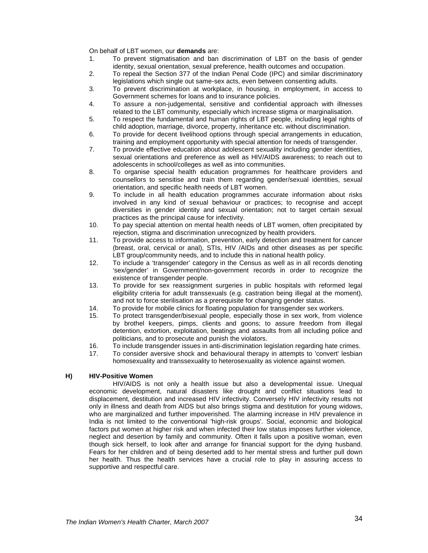On behalf of LBT women, our **demands** are:

- 1. To prevent stigmatisation and ban discrimination of LBT on the basis of gender identity, sexual orientation, sexual preference, health outcomes and occupation.
- 2. To repeal the Section 377 of the Indian Penal Code (IPC) and similar discriminatory legislations which single out same-sex acts, even between consenting adults.
- 3. To prevent discrimination at workplace, in housing, in employment, in access to Government schemes for loans and to insurance policies.
- 4. To assure a non-judgemental, sensitive and confidential approach with illnesses related to the LBT community, especially which increase stigma or marginalisation.
- 5. To respect the fundamental and human rights of LBT people, including legal rights of child adoption, marriage, divorce, property, inheritance etc. without discrimination.
- 6. To provide for decent livelihood options through special arrangements in education, training and employment opportunity with special attention for needs of transgender.
- 7. To provide effective education about adolescent sexuality including gender identities, sexual orientations and preference as well as HIV/AIDS awareness; to reach out to adolescents in school/colleges as well as into communities.
- 8. To organise special health education programmes for healthcare providers and counsellors to sensitise and train them regarding gender/sexual identities, sexual orientation, and specific health needs of LBT women.
- 9. To include in all health education programmes accurate information about risks involved in any kind of sexual behaviour or practices; to recognise and accept diversities in gender identity and sexual orientation; not to target certain sexual practices as the principal cause for infectivity.
- 10. To pay special attention on mental health needs of LBT women, often precipitated by rejection, stigma and discrimination unrecognized by health providers.
- 11. To provide access to information, prevention, early detection and treatment for cancer (breast, oral, cervical or anal), STIs, HIV /AIDs and other diseases as per specific LBT group/community needs, and to include this in national health policy.
- 12. To include a 'transgender' category in the Census as well as in all records denoting 'sex/gender' in Government/non-government records in order to recognize the existence of transgender people.
- 13. To provide for sex reassignment surgeries in public hospitals with reformed legal eligibility criteria for adult transsexuals (e.g. castration being illegal at the moment), and not to force sterilisation as a prerequisite for changing gender status.
- 14. To provide for mobile clinics for floating population for transgender sex workers.<br>15. To protect transgender/bisexual people, especially those in sex work, from vic
- 15. To protect transgender/bisexual people, especially those in sex work, from violence by brothel keepers, pimps, clients and goons; to assure freedom from illegal detention, extortion, exploitation, beatings and assaults from all including police and politicians, and to prosecute and punish the violators.
- 16. To include transgender issues in anti-discrimination legislation regarding hate crimes.
- 17. To consider aversive shock and behavioural therapy in attempts to 'convert' lesbian homosexuality and transsexuality to heterosexuality as violence against women.

#### **H) HIV-Positive Women**

HIV/AIDS is not only a health issue but also a developmental issue. Unequal economic development, natural disasters like drought and conflict situations lead to displacement, destitution and increased HIV infectivity. Conversely HIV infectivity results not only in illness and death from AIDS but also brings stigma and destitution for young widows, who are marginalized and further impoverished. The alarming increase in HIV prevalence in India is not limited to the conventional 'high-risk groups'. Social, economic and biological factors put women at higher risk and when infected their low status imposes further violence, neglect and desertion by family and community. Often it falls upon a positive woman, even though sick herself, to look after and arrange for financial support for the dying husband. Fears for her children and of being deserted add to her mental stress and further pull down her health. Thus the health services have a crucial role to play in assuring access to supportive and respectful care.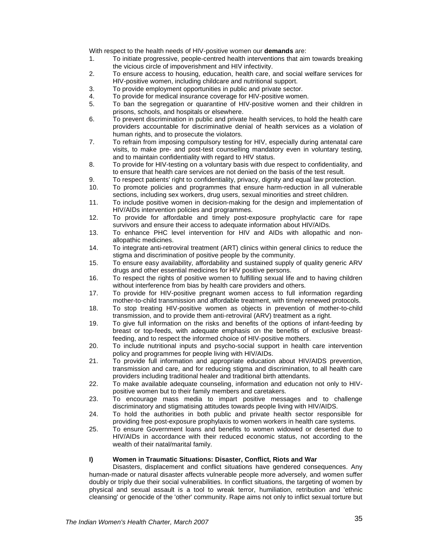With respect to the health needs of HIV-positive women our **demands** are:

- 1. To initiate progressive, people-centred health interventions that aim towards breaking the vicious circle of impoverishment and HIV infectivity.
- 2. To ensure access to housing, education, health care, and social welfare services for HIV-positive women, including childcare and nutritional support.
- 3. To provide employment opportunities in public and private sector.
- 4. To provide for medical insurance coverage for HIV-positive women.<br>5. To ban the segregation or quarantine of HIV-positive women and
- 5. To ban the segregation or quarantine of HIV-positive women and their children in prisons, schools, and hospitals or elsewhere.
- 6. To prevent discrimination in public and private health services, to hold the health care providers accountable for discriminative denial of health services as a violation of human rights, and to prosecute the violators.
- 7. To refrain from imposing compulsory testing for HIV, especially during antenatal care visits, to make pre- and post-test counselling mandatory even in voluntary testing, and to maintain confidentiality with regard to HIV status.
- 8. To provide for HIV-testing on a voluntary basis with due respect to confidentiality, and to ensure that health care services are not denied on the basis of the test result.
- 9. To respect patients' right to confidentiality, privacy, dignity and equal law protection.
- 10. To promote policies and programmes that ensure harm-reduction in all vulnerable sections, including sex workers, drug users, sexual minorities and street children.
- 11. To include positive women in decision-making for the design and implementation of HIV/AIDs intervention policies and programmes.
- 12. To provide for affordable and timely post-exposure prophylactic care for rape survivors and ensure their access to adequate information about HIV/AIDs.
- 13. To enhance PHC level intervention for HIV and AIDs with allopathic and nonallopathic medicines.
- 14. To integrate anti-retroviral treatment (ART) clinics within general clinics to reduce the stigma and discrimination of positive people by the community.
- 15. To ensure easy availability, affordability and sustained supply of quality generic ARV drugs and other essential medicines for HIV positive persons.
- 16. To respect the rights of positive women to fulfilling sexual life and to having children without interference from bias by health care providers and others.
- 17. To provide for HIV-positive pregnant women access to full information regarding mother-to-child transmission and affordable treatment, with timely renewed protocols.
- 18. To stop treating HIV-positive women as objects in prevention of mother-to-child transmission, and to provide them anti-retroviral (ARV) treatment as a right.
- 19. To give full information on the risks and benefits of the options of infant-feeding by breast or top-feeds, with adequate emphasis on the benefits of exclusive breastfeeding, and to respect the informed choice of HIV-positive mothers.
- 20. To include nutritional inputs and psycho-social support in health care intervention policy and programmes for people living with HIV/AIDs.
- 21. To provide full information and appropriate education about HIV/AIDS prevention, transmission and care, and for reducing stigma and discrimination, to all health care providers including traditional healer and traditional birth attendants.
- 22. To make available adequate counseling, information and education not only to HIVpositive women but to their family members and caretakers.
- 23. To encourage mass media to impart positive messages and to challenge discriminatory and stigmatising attitudes towards people living with HIV/AIDS.
- 24. To hold the authorities in both public and private health sector responsible for providing free post-exposure prophylaxis to women workers in health care systems.
- 25. To ensure Government loans and benefits to women widowed or deserted due to HIV/AIDs in accordance with their reduced economic status, not according to the wealth of their natal/marital family.

#### **I) Women in Traumatic Situations: Disaster, Conflict, Riots and War**

Disasters, displacement and conflict situations have gendered consequences. Any human-made or natural disaster affects vulnerable people more adversely, and women suffer doubly or triply due their social vulnerabilities. In conflict situations, the targeting of women by physical and sexual assault is a tool to wreak terror, humiliation, retribution and 'ethnic cleansing' or genocide of the 'other' community. Rape aims not only to inflict sexual torture but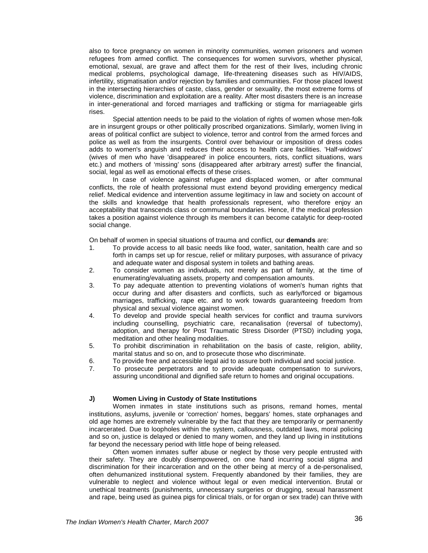also to force pregnancy on women in minority communities, women prisoners and women refugees from armed conflict. The consequences for women survivors, whether physical, emotional, sexual, are grave and affect them for the rest of their lives, including chronic medical problems, psychological damage, life-threatening diseases such as HIV/AIDS, infertility, stigmatisation and/or rejection by families and communities. For those placed lowest in the intersecting hierarchies of caste, class, gender or sexuality, the most extreme forms of violence, discrimination and exploitation are a reality. After most disasters there is an increase in inter-generational and forced marriages and trafficking or stigma for marriageable girls rises.

Special attention needs to be paid to the violation of rights of women whose men-folk are in insurgent groups or other politically proscribed organizations. Similarly, women living in areas of political conflict are subject to violence, terror and control from the armed forces and police as well as from the insurgents. Control over behaviour or imposition of dress codes adds to women's anguish and reduces their access to health care facilities. 'Half-widows' (wives of men who have 'disappeared' in police encounters, riots, conflict situations, wars etc.) and mothers of 'missing' sons (disappeared after arbitrary arrest) suffer the financial, social, legal as well as emotional effects of these crises.

In case of violence against refugee and displaced women, or after communal conflicts, the role of health professional must extend beyond providing emergency medical relief. Medical evidence and intervention assume legitimacy in law and society on account of the skills and knowledge that health professionals represent, who therefore enjoy an acceptability that transcends class or communal boundaries. Hence, if the medical profession takes a position against violence through its members it can become catalytic for deep-rooted social change.

On behalf of women in special situations of trauma and conflict, our **demands** are:

- 1. To provide access to all basic needs like food, water, sanitation, health care and so forth in camps set up for rescue, relief or military purposes, with assurance of privacy and adequate water and disposal system in toilets and bathing areas.
- 2. To consider women as individuals, not merely as part of family, at the time of enumerating/evaluating assets, property and compensation amounts.
- 3. To pay adequate attention to preventing violations of women's human rights that occur during and after disasters and conflicts, such as early/forced or bigamous marriages, trafficking, rape etc. and to work towards guaranteeing freedom from physical and sexual violence against women.
- 4. To develop and provide special health services for conflict and trauma survivors including counselling, psychiatric care, recanalisation (reversal of tubectomy), adoption, and therapy for Post Traumatic Stress Disorder (PTSD) including yoga, meditation and other healing modalities.
- 5. To prohibit discrimination in rehabilitation on the basis of caste, religion, ability, marital status and so on, and to prosecute those who discriminate.
- 6. To provide free and accessible legal aid to assure both individual and social justice.
- 7. To prosecute perpetrators and to provide adequate compensation to survivors, assuring unconditional and dignified safe return to homes and original occupations.

#### **J) Women Living in Custody of State Institutions**

Women inmates in state institutions such as prisons, remand homes, mental institutions, asylums, juvenile or 'correction' homes, beggars' homes, state orphanages and old age homes are extremely vulnerable by the fact that they are temporarily or permanently incarcerated. Due to loopholes within the system, callousness, outdated laws, moral policing and so on, justice is delayed or denied to many women, and they land up living in institutions far beyond the necessary period with little hope of being released.

Often women inmates suffer abuse or neglect by those very people entrusted with their safety. They are doubly disempowered, on one hand incurring social stigma and discrimination for their incarceration and on the other being at mercy of a de-personalised, often dehumanized institutional system. Frequently abandoned by their families, they are vulnerable to neglect and violence without legal or even medical intervention. Brutal or unethical treatments (punishments, unnecessary surgeries or drugging, sexual harassment and rape, being used as guinea pigs for clinical trials, or for organ or sex trade) can thrive with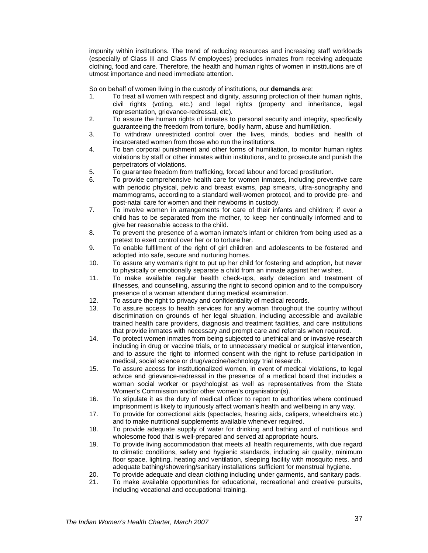impunity within institutions. The trend of reducing resources and increasing staff workloads (especially of Class III and Class IV employees) precludes inmates from receiving adequate clothing, food and care. Therefore, the health and human rights of women in institutions are of utmost importance and need immediate attention.

So on behalf of women living in the custody of institutions, our **demands** are:

- 1. To treat all women with respect and dignity, assuring protection of their human rights, civil rights (voting, etc.) and legal rights (property and inheritance, legal representation, grievance-redressal, etc).
- 2. To assure the human rights of inmates to personal security and integrity, specifically guaranteeing the freedom from torture, bodily harm, abuse and humiliation.
- 3. To withdraw unrestricted control over the lives, minds, bodies and health of incarcerated women from those who run the institutions.
- 4. To ban corporal punishment and other forms of humiliation, to monitor human rights violations by staff or other inmates within institutions, and to prosecute and punish the perpetrators of violations.
- 5. To guarantee freedom from trafficking, forced labour and forced prostitution.
- 6. To provide comprehensive health care for women inmates, including preventive care with periodic physical, pelvic and breast exams, pap smears, ultra-sonography and mammograms, according to a standard well-women protocol, and to provide pre- and post-natal care for women and their newborns in custody.
- 7. To involve women in arrangements for care of their infants and children; if ever a child has to be separated from the mother, to keep her continually informed and to give her reasonable access to the child.
- 8. To prevent the presence of a woman inmate's infant or children from being used as a pretext to exert control over her or to torture her.
- 9. To enable fulfilment of the right of girl children and adolescents to be fostered and adopted into safe, secure and nurturing homes.
- 10. To assure any woman's right to put up her child for fostering and adoption, but never to physically or emotionally separate a child from an inmate against her wishes.
- 11. To make available regular health check-ups, early detection and treatment of illnesses, and counselling, assuring the right to second opinion and to the compulsory presence of a woman attendant during medical examination.
- 12. To assure the right to privacy and confidentiality of medical records.
- 13. To assure access to health services for any woman throughout the country without discrimination on grounds of her legal situation, including accessible and available trained health care providers, diagnosis and treatment facilities, and care institutions that provide inmates with necessary and prompt care and referrals when required.
- 14. To protect women inmates from being subjected to unethical and or invasive research including in drug or vaccine trials, or to unnecessary medical or surgical intervention, and to assure the right to informed consent with the right to refuse participation in medical, social science or drug/vaccine/technology trial research.
- 15. To assure access for institutionalized women, in event of medical violations, to legal advice and grievance-redressal in the presence of a medical board that includes a woman social worker or psychologist as well as representatives from the State Women's Commission and/or other women's organisation(s).
- 16. To stipulate it as the duty of medical officer to report to authorities where continued imprisonment is likely to injuriously affect woman's health and wellbeing in any way.
- 17. To provide for correctional aids (spectacles, hearing aids, calipers, wheelchairs etc.) and to make nutritional supplements available whenever required.
- 18. To provide adequate supply of water for drinking and bathing and of nutritious and wholesome food that is well-prepared and served at appropriate hours.
- 19. To provide living accommodation that meets all health requirements, with due regard to climatic conditions, safety and hygienic standards, including air quality, minimum floor space, lighting, heating and ventilation, sleeping facility with mosquito nets, and adequate bathing/showering/sanitary installations sufficient for menstrual hygiene.
- 20. To provide adequate and clean clothing including under garments, and sanitary pads.
- 21. To make available opportunities for educational, recreational and creative pursuits, including vocational and occupational training.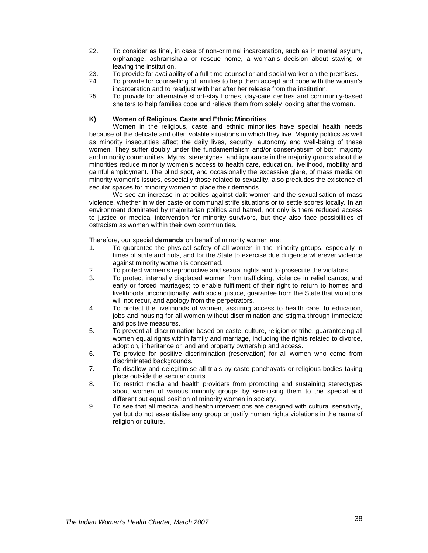- 22. To consider as final, in case of non-criminal incarceration, such as in mental asylum, orphanage, ashramshala or rescue home, a woman's decision about staying or leaving the institution.
- 23. To provide for availability of a full time counsellor and social worker on the premises.
- 24. To provide for counselling of families to help them accept and cope with the woman's incarceration and to readjust with her after her release from the institution.
- 25. To provide for alternative short-stay homes, day-care centres and community-based shelters to help families cope and relieve them from solely looking after the woman.

### **K) Women of Religious, Caste and Ethnic Minorities**

Women in the religious, caste and ethnic minorities have special health needs because of the delicate and often volatile situations in which they live. Majority politics as well as minority insecurities affect the daily lives, security, autonomy and well-being of these women. They suffer doubly under the fundamentalism and/or conservatisim of both majority and minority communities. Myths, stereotypes, and ignorance in the majority groups about the minorities reduce minority women's access to health care, education, livelihood, mobility and gainful employment. The blind spot, and occasionally the excessive glare, of mass media on minority women's issues, especially those related to sexuality, also precludes the existence of secular spaces for minority women to place their demands.

We see an increase in atrocities against dalit women and the sexualisation of mass violence, whether in wider caste or communal strife situations or to settle scores locally. In an environment dominated by majoritarian politics and hatred, not only is there reduced access to justice or medical intervention for minority survivors, but they also face possibilities of ostracism as women within their own communities.

Therefore, our special **demands** on behalf of minority women are:

- 1. To guarantee the physical safety of all women in the minority groups, especially in times of strife and riots, and for the State to exercise due diligence wherever violence against minority women is concerned.
- 2. To protect women's reproductive and sexual rights and to prosecute the violators.
- 3. To protect internally displaced women from trafficking, violence in relief camps, and early or forced marriages; to enable fulfilment of their right to return to homes and livelihoods unconditionally, with social justice, guarantee from the State that violations will not recur, and apology from the perpetrators.
- 4. To protect the livelihoods of women, assuring access to health care, to education, jobs and housing for all women without discrimination and stigma through immediate and positive measures.
- 5. To prevent all discrimination based on caste, culture, religion or tribe, guaranteeing all women equal rights within family and marriage, including the rights related to divorce, adoption, inheritance or land and property ownership and access.
- 6. To provide for positive discrimination (reservation) for all women who come from discriminated backgrounds.
- 7. To disallow and delegitimise all trials by caste panchayats or religious bodies taking place outside the secular courts.
- 8. To restrict media and health providers from promoting and sustaining stereotypes about women of various minority groups by sensitising them to the special and different but equal position of minority women in society.
- 9. To see that all medical and health interventions are designed with cultural sensitivity, yet but do not essentialise any group or justify human rights violations in the name of religion or culture.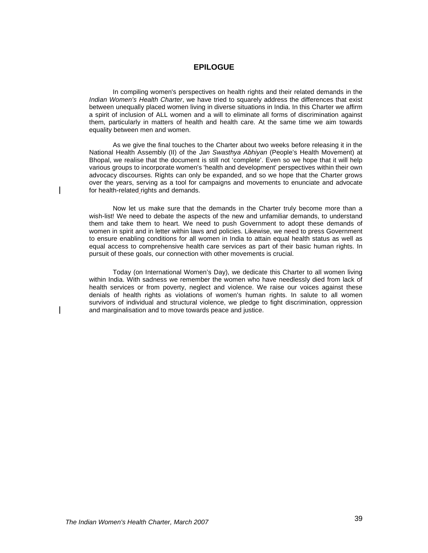## **EPILOGUE**

In compiling women's perspectives on health rights and their related demands in the Indian Women's Health Charter, we have tried to squarely address the differences that exist between unequally placed women living in diverse situations in India. In this Charter we affirm a spirit of inclusion of ALL women and a will to eliminate all forms of discrimination against them, particularly in matters of health and health care. At the same time we aim towards equality between men and women.

As we give the final touches to the Charter about two weeks before releasing it in the National Health Assembly (II) of the Jan Swasthya Abhiyan (People's Health Movement) at Bhopal, we realise that the document is still not 'complete'. Even so we hope that it will help various groups to incorporate women's 'health and development' perspectives within their own advocacy discourses. Rights can only be expanded, and so we hope that the Charter grows over the years, serving as a tool for campaigns and movements to enunciate and advocate for health-related rights and demands.

Now let us make sure that the demands in the Charter truly become more than a wish-list! We need to debate the aspects of the new and unfamiliar demands, to understand them and take them to heart. We need to push Government to adopt these demands of women in spirit and in letter within laws and policies. Likewise, we need to press Government to ensure enabling conditions for all women in India to attain equal health status as well as equal access to comprehensive health care services as part of their basic human rights. In pursuit of these goals, our connection with other movements is crucial.

Today (on International Women's Day), we dedicate this Charter to all women living within India. With sadness we remember the women who have needlessly died from lack of health services or from poverty, neglect and violence. We raise our voices against these denials of health rights as violations of women's human rights. In salute to all women survivors of individual and structural violence, we pledge to fight discrimination, oppression and marginalisation and to move towards peace and justice.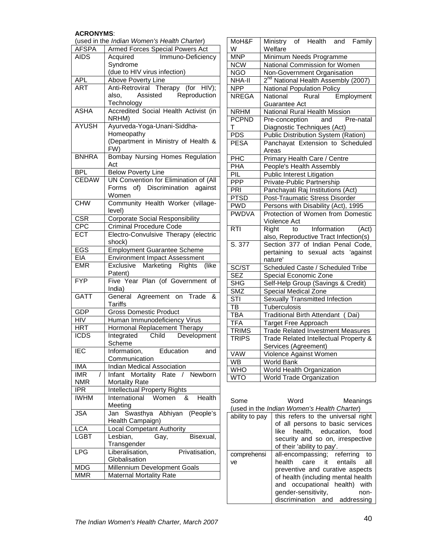## **ACRONYMS**:

| <b>Armed Forces Special Powers Act</b><br><b>AFSPA</b><br><b>AIDS</b><br>Acquired<br>Immuno-Deficiency<br>Syndrome<br>(due to HIV virus infection)<br>Above Poverty Line<br><b>APL</b><br>Anti-Retroviral Therapy (for HIV);<br><b>ART</b><br>Assisted Reproduction<br>also,<br><b>Technology</b><br>Accredited Social Health Activist (in<br><b>ASHA</b><br>NRHM)<br>Ayurveda-Yoga-Unani-Siddha-<br><b>AYUSH</b><br>Homeopathy<br>(Department in Ministry of Health &<br>FW)<br>Bombay Nursing Homes Regulation<br><b>BNHRA</b><br>Act<br><b>BPL</b><br><b>Below Poverty Line</b><br><b>CEDAW</b><br>UN Convention for Elimination of (All<br>Forms of) Discrimination against<br>Women<br>Community Health Worker (village-<br><b>CHW</b><br>level)<br><b>Corporate Social Responsibility</b><br><b>CSR</b><br><b>CPC</b><br><b>Criminal Procedure Code</b><br><b>ECT</b><br>Electro-Convulsive Therapy (electric<br>shock)<br><b>Employment Guarantee Scheme</b><br><b>EGS</b><br>EIA<br><b>Environment Impact Assessment</b><br><b>EMR</b><br>Marketing Rights<br>(like<br>Exclusive<br>Patent)<br><b>FYP</b><br>Five Year Plan (of Government of<br>India)<br>General Agreement on Trade &<br><b>GATT</b><br>Tariffs<br><b>Gross Domestic Product</b><br>GDP<br>Human Immunodeficiency Virus<br>HIV<br>Hormonal Replacement Therapy<br>HRT<br>Child Development<br><b>ICDS</b><br>Integrated<br>Scheme<br>Education<br><b>IEC</b><br>Information,<br>and<br>Communication<br><b>Indian Medical Association</b><br>IMA<br>Mortality Rate / Newborn<br><b>IMR</b><br>T<br>Infant<br>Mortality Rate<br>NMR<br><b>Intellectual Property Rights</b><br>IPR<br><b>IWHM</b><br>Health<br>International<br>Women<br>&<br>Meeting<br>Swasthya Abhiyan<br><b>JSA</b><br>(People's<br>Jan<br>Health Campaign)<br><b>Local Competant Authority</b><br><b>LCA</b><br><b>LGBT</b><br>Bisexual,<br>Lesbian,<br>Gay,<br>Transgender<br>LPG<br>Liberalisation,<br>Privatisation,<br>Globalisation<br>Millennium Development Goals<br><b>MDG</b><br><b>MMR</b><br><b>Maternal Mortality Rate</b> | (used in the Indian Women's Health Charter) |  |  |  |  |
|-------------------------------------------------------------------------------------------------------------------------------------------------------------------------------------------------------------------------------------------------------------------------------------------------------------------------------------------------------------------------------------------------------------------------------------------------------------------------------------------------------------------------------------------------------------------------------------------------------------------------------------------------------------------------------------------------------------------------------------------------------------------------------------------------------------------------------------------------------------------------------------------------------------------------------------------------------------------------------------------------------------------------------------------------------------------------------------------------------------------------------------------------------------------------------------------------------------------------------------------------------------------------------------------------------------------------------------------------------------------------------------------------------------------------------------------------------------------------------------------------------------------------------------------------------------------------------------------------------------------------------------------------------------------------------------------------------------------------------------------------------------------------------------------------------------------------------------------------------------------------------------------------------------------------------------------------------------------------------------------------------------------------------------------------------------------------------------|---------------------------------------------|--|--|--|--|
|                                                                                                                                                                                                                                                                                                                                                                                                                                                                                                                                                                                                                                                                                                                                                                                                                                                                                                                                                                                                                                                                                                                                                                                                                                                                                                                                                                                                                                                                                                                                                                                                                                                                                                                                                                                                                                                                                                                                                                                                                                                                                     |                                             |  |  |  |  |
|                                                                                                                                                                                                                                                                                                                                                                                                                                                                                                                                                                                                                                                                                                                                                                                                                                                                                                                                                                                                                                                                                                                                                                                                                                                                                                                                                                                                                                                                                                                                                                                                                                                                                                                                                                                                                                                                                                                                                                                                                                                                                     |                                             |  |  |  |  |
|                                                                                                                                                                                                                                                                                                                                                                                                                                                                                                                                                                                                                                                                                                                                                                                                                                                                                                                                                                                                                                                                                                                                                                                                                                                                                                                                                                                                                                                                                                                                                                                                                                                                                                                                                                                                                                                                                                                                                                                                                                                                                     |                                             |  |  |  |  |
|                                                                                                                                                                                                                                                                                                                                                                                                                                                                                                                                                                                                                                                                                                                                                                                                                                                                                                                                                                                                                                                                                                                                                                                                                                                                                                                                                                                                                                                                                                                                                                                                                                                                                                                                                                                                                                                                                                                                                                                                                                                                                     |                                             |  |  |  |  |
|                                                                                                                                                                                                                                                                                                                                                                                                                                                                                                                                                                                                                                                                                                                                                                                                                                                                                                                                                                                                                                                                                                                                                                                                                                                                                                                                                                                                                                                                                                                                                                                                                                                                                                                                                                                                                                                                                                                                                                                                                                                                                     |                                             |  |  |  |  |
|                                                                                                                                                                                                                                                                                                                                                                                                                                                                                                                                                                                                                                                                                                                                                                                                                                                                                                                                                                                                                                                                                                                                                                                                                                                                                                                                                                                                                                                                                                                                                                                                                                                                                                                                                                                                                                                                                                                                                                                                                                                                                     |                                             |  |  |  |  |
|                                                                                                                                                                                                                                                                                                                                                                                                                                                                                                                                                                                                                                                                                                                                                                                                                                                                                                                                                                                                                                                                                                                                                                                                                                                                                                                                                                                                                                                                                                                                                                                                                                                                                                                                                                                                                                                                                                                                                                                                                                                                                     |                                             |  |  |  |  |
|                                                                                                                                                                                                                                                                                                                                                                                                                                                                                                                                                                                                                                                                                                                                                                                                                                                                                                                                                                                                                                                                                                                                                                                                                                                                                                                                                                                                                                                                                                                                                                                                                                                                                                                                                                                                                                                                                                                                                                                                                                                                                     |                                             |  |  |  |  |
|                                                                                                                                                                                                                                                                                                                                                                                                                                                                                                                                                                                                                                                                                                                                                                                                                                                                                                                                                                                                                                                                                                                                                                                                                                                                                                                                                                                                                                                                                                                                                                                                                                                                                                                                                                                                                                                                                                                                                                                                                                                                                     |                                             |  |  |  |  |
|                                                                                                                                                                                                                                                                                                                                                                                                                                                                                                                                                                                                                                                                                                                                                                                                                                                                                                                                                                                                                                                                                                                                                                                                                                                                                                                                                                                                                                                                                                                                                                                                                                                                                                                                                                                                                                                                                                                                                                                                                                                                                     |                                             |  |  |  |  |
|                                                                                                                                                                                                                                                                                                                                                                                                                                                                                                                                                                                                                                                                                                                                                                                                                                                                                                                                                                                                                                                                                                                                                                                                                                                                                                                                                                                                                                                                                                                                                                                                                                                                                                                                                                                                                                                                                                                                                                                                                                                                                     |                                             |  |  |  |  |
|                                                                                                                                                                                                                                                                                                                                                                                                                                                                                                                                                                                                                                                                                                                                                                                                                                                                                                                                                                                                                                                                                                                                                                                                                                                                                                                                                                                                                                                                                                                                                                                                                                                                                                                                                                                                                                                                                                                                                                                                                                                                                     |                                             |  |  |  |  |
|                                                                                                                                                                                                                                                                                                                                                                                                                                                                                                                                                                                                                                                                                                                                                                                                                                                                                                                                                                                                                                                                                                                                                                                                                                                                                                                                                                                                                                                                                                                                                                                                                                                                                                                                                                                                                                                                                                                                                                                                                                                                                     |                                             |  |  |  |  |
|                                                                                                                                                                                                                                                                                                                                                                                                                                                                                                                                                                                                                                                                                                                                                                                                                                                                                                                                                                                                                                                                                                                                                                                                                                                                                                                                                                                                                                                                                                                                                                                                                                                                                                                                                                                                                                                                                                                                                                                                                                                                                     |                                             |  |  |  |  |
|                                                                                                                                                                                                                                                                                                                                                                                                                                                                                                                                                                                                                                                                                                                                                                                                                                                                                                                                                                                                                                                                                                                                                                                                                                                                                                                                                                                                                                                                                                                                                                                                                                                                                                                                                                                                                                                                                                                                                                                                                                                                                     |                                             |  |  |  |  |
|                                                                                                                                                                                                                                                                                                                                                                                                                                                                                                                                                                                                                                                                                                                                                                                                                                                                                                                                                                                                                                                                                                                                                                                                                                                                                                                                                                                                                                                                                                                                                                                                                                                                                                                                                                                                                                                                                                                                                                                                                                                                                     |                                             |  |  |  |  |
|                                                                                                                                                                                                                                                                                                                                                                                                                                                                                                                                                                                                                                                                                                                                                                                                                                                                                                                                                                                                                                                                                                                                                                                                                                                                                                                                                                                                                                                                                                                                                                                                                                                                                                                                                                                                                                                                                                                                                                                                                                                                                     |                                             |  |  |  |  |
|                                                                                                                                                                                                                                                                                                                                                                                                                                                                                                                                                                                                                                                                                                                                                                                                                                                                                                                                                                                                                                                                                                                                                                                                                                                                                                                                                                                                                                                                                                                                                                                                                                                                                                                                                                                                                                                                                                                                                                                                                                                                                     |                                             |  |  |  |  |
|                                                                                                                                                                                                                                                                                                                                                                                                                                                                                                                                                                                                                                                                                                                                                                                                                                                                                                                                                                                                                                                                                                                                                                                                                                                                                                                                                                                                                                                                                                                                                                                                                                                                                                                                                                                                                                                                                                                                                                                                                                                                                     |                                             |  |  |  |  |
|                                                                                                                                                                                                                                                                                                                                                                                                                                                                                                                                                                                                                                                                                                                                                                                                                                                                                                                                                                                                                                                                                                                                                                                                                                                                                                                                                                                                                                                                                                                                                                                                                                                                                                                                                                                                                                                                                                                                                                                                                                                                                     |                                             |  |  |  |  |
|                                                                                                                                                                                                                                                                                                                                                                                                                                                                                                                                                                                                                                                                                                                                                                                                                                                                                                                                                                                                                                                                                                                                                                                                                                                                                                                                                                                                                                                                                                                                                                                                                                                                                                                                                                                                                                                                                                                                                                                                                                                                                     |                                             |  |  |  |  |
|                                                                                                                                                                                                                                                                                                                                                                                                                                                                                                                                                                                                                                                                                                                                                                                                                                                                                                                                                                                                                                                                                                                                                                                                                                                                                                                                                                                                                                                                                                                                                                                                                                                                                                                                                                                                                                                                                                                                                                                                                                                                                     |                                             |  |  |  |  |
|                                                                                                                                                                                                                                                                                                                                                                                                                                                                                                                                                                                                                                                                                                                                                                                                                                                                                                                                                                                                                                                                                                                                                                                                                                                                                                                                                                                                                                                                                                                                                                                                                                                                                                                                                                                                                                                                                                                                                                                                                                                                                     |                                             |  |  |  |  |
|                                                                                                                                                                                                                                                                                                                                                                                                                                                                                                                                                                                                                                                                                                                                                                                                                                                                                                                                                                                                                                                                                                                                                                                                                                                                                                                                                                                                                                                                                                                                                                                                                                                                                                                                                                                                                                                                                                                                                                                                                                                                                     |                                             |  |  |  |  |
|                                                                                                                                                                                                                                                                                                                                                                                                                                                                                                                                                                                                                                                                                                                                                                                                                                                                                                                                                                                                                                                                                                                                                                                                                                                                                                                                                                                                                                                                                                                                                                                                                                                                                                                                                                                                                                                                                                                                                                                                                                                                                     |                                             |  |  |  |  |
|                                                                                                                                                                                                                                                                                                                                                                                                                                                                                                                                                                                                                                                                                                                                                                                                                                                                                                                                                                                                                                                                                                                                                                                                                                                                                                                                                                                                                                                                                                                                                                                                                                                                                                                                                                                                                                                                                                                                                                                                                                                                                     |                                             |  |  |  |  |
|                                                                                                                                                                                                                                                                                                                                                                                                                                                                                                                                                                                                                                                                                                                                                                                                                                                                                                                                                                                                                                                                                                                                                                                                                                                                                                                                                                                                                                                                                                                                                                                                                                                                                                                                                                                                                                                                                                                                                                                                                                                                                     |                                             |  |  |  |  |
|                                                                                                                                                                                                                                                                                                                                                                                                                                                                                                                                                                                                                                                                                                                                                                                                                                                                                                                                                                                                                                                                                                                                                                                                                                                                                                                                                                                                                                                                                                                                                                                                                                                                                                                                                                                                                                                                                                                                                                                                                                                                                     |                                             |  |  |  |  |
|                                                                                                                                                                                                                                                                                                                                                                                                                                                                                                                                                                                                                                                                                                                                                                                                                                                                                                                                                                                                                                                                                                                                                                                                                                                                                                                                                                                                                                                                                                                                                                                                                                                                                                                                                                                                                                                                                                                                                                                                                                                                                     |                                             |  |  |  |  |
|                                                                                                                                                                                                                                                                                                                                                                                                                                                                                                                                                                                                                                                                                                                                                                                                                                                                                                                                                                                                                                                                                                                                                                                                                                                                                                                                                                                                                                                                                                                                                                                                                                                                                                                                                                                                                                                                                                                                                                                                                                                                                     |                                             |  |  |  |  |
|                                                                                                                                                                                                                                                                                                                                                                                                                                                                                                                                                                                                                                                                                                                                                                                                                                                                                                                                                                                                                                                                                                                                                                                                                                                                                                                                                                                                                                                                                                                                                                                                                                                                                                                                                                                                                                                                                                                                                                                                                                                                                     |                                             |  |  |  |  |
|                                                                                                                                                                                                                                                                                                                                                                                                                                                                                                                                                                                                                                                                                                                                                                                                                                                                                                                                                                                                                                                                                                                                                                                                                                                                                                                                                                                                                                                                                                                                                                                                                                                                                                                                                                                                                                                                                                                                                                                                                                                                                     |                                             |  |  |  |  |
|                                                                                                                                                                                                                                                                                                                                                                                                                                                                                                                                                                                                                                                                                                                                                                                                                                                                                                                                                                                                                                                                                                                                                                                                                                                                                                                                                                                                                                                                                                                                                                                                                                                                                                                                                                                                                                                                                                                                                                                                                                                                                     |                                             |  |  |  |  |
|                                                                                                                                                                                                                                                                                                                                                                                                                                                                                                                                                                                                                                                                                                                                                                                                                                                                                                                                                                                                                                                                                                                                                                                                                                                                                                                                                                                                                                                                                                                                                                                                                                                                                                                                                                                                                                                                                                                                                                                                                                                                                     |                                             |  |  |  |  |
|                                                                                                                                                                                                                                                                                                                                                                                                                                                                                                                                                                                                                                                                                                                                                                                                                                                                                                                                                                                                                                                                                                                                                                                                                                                                                                                                                                                                                                                                                                                                                                                                                                                                                                                                                                                                                                                                                                                                                                                                                                                                                     |                                             |  |  |  |  |
|                                                                                                                                                                                                                                                                                                                                                                                                                                                                                                                                                                                                                                                                                                                                                                                                                                                                                                                                                                                                                                                                                                                                                                                                                                                                                                                                                                                                                                                                                                                                                                                                                                                                                                                                                                                                                                                                                                                                                                                                                                                                                     |                                             |  |  |  |  |
|                                                                                                                                                                                                                                                                                                                                                                                                                                                                                                                                                                                                                                                                                                                                                                                                                                                                                                                                                                                                                                                                                                                                                                                                                                                                                                                                                                                                                                                                                                                                                                                                                                                                                                                                                                                                                                                                                                                                                                                                                                                                                     |                                             |  |  |  |  |
|                                                                                                                                                                                                                                                                                                                                                                                                                                                                                                                                                                                                                                                                                                                                                                                                                                                                                                                                                                                                                                                                                                                                                                                                                                                                                                                                                                                                                                                                                                                                                                                                                                                                                                                                                                                                                                                                                                                                                                                                                                                                                     |                                             |  |  |  |  |
|                                                                                                                                                                                                                                                                                                                                                                                                                                                                                                                                                                                                                                                                                                                                                                                                                                                                                                                                                                                                                                                                                                                                                                                                                                                                                                                                                                                                                                                                                                                                                                                                                                                                                                                                                                                                                                                                                                                                                                                                                                                                                     |                                             |  |  |  |  |
|                                                                                                                                                                                                                                                                                                                                                                                                                                                                                                                                                                                                                                                                                                                                                                                                                                                                                                                                                                                                                                                                                                                                                                                                                                                                                                                                                                                                                                                                                                                                                                                                                                                                                                                                                                                                                                                                                                                                                                                                                                                                                     |                                             |  |  |  |  |
|                                                                                                                                                                                                                                                                                                                                                                                                                                                                                                                                                                                                                                                                                                                                                                                                                                                                                                                                                                                                                                                                                                                                                                                                                                                                                                                                                                                                                                                                                                                                                                                                                                                                                                                                                                                                                                                                                                                                                                                                                                                                                     |                                             |  |  |  |  |
|                                                                                                                                                                                                                                                                                                                                                                                                                                                                                                                                                                                                                                                                                                                                                                                                                                                                                                                                                                                                                                                                                                                                                                                                                                                                                                                                                                                                                                                                                                                                                                                                                                                                                                                                                                                                                                                                                                                                                                                                                                                                                     |                                             |  |  |  |  |
|                                                                                                                                                                                                                                                                                                                                                                                                                                                                                                                                                                                                                                                                                                                                                                                                                                                                                                                                                                                                                                                                                                                                                                                                                                                                                                                                                                                                                                                                                                                                                                                                                                                                                                                                                                                                                                                                                                                                                                                                                                                                                     |                                             |  |  |  |  |
|                                                                                                                                                                                                                                                                                                                                                                                                                                                                                                                                                                                                                                                                                                                                                                                                                                                                                                                                                                                                                                                                                                                                                                                                                                                                                                                                                                                                                                                                                                                                                                                                                                                                                                                                                                                                                                                                                                                                                                                                                                                                                     |                                             |  |  |  |  |
|                                                                                                                                                                                                                                                                                                                                                                                                                                                                                                                                                                                                                                                                                                                                                                                                                                                                                                                                                                                                                                                                                                                                                                                                                                                                                                                                                                                                                                                                                                                                                                                                                                                                                                                                                                                                                                                                                                                                                                                                                                                                                     |                                             |  |  |  |  |
|                                                                                                                                                                                                                                                                                                                                                                                                                                                                                                                                                                                                                                                                                                                                                                                                                                                                                                                                                                                                                                                                                                                                                                                                                                                                                                                                                                                                                                                                                                                                                                                                                                                                                                                                                                                                                                                                                                                                                                                                                                                                                     |                                             |  |  |  |  |
|                                                                                                                                                                                                                                                                                                                                                                                                                                                                                                                                                                                                                                                                                                                                                                                                                                                                                                                                                                                                                                                                                                                                                                                                                                                                                                                                                                                                                                                                                                                                                                                                                                                                                                                                                                                                                                                                                                                                                                                                                                                                                     |                                             |  |  |  |  |
|                                                                                                                                                                                                                                                                                                                                                                                                                                                                                                                                                                                                                                                                                                                                                                                                                                                                                                                                                                                                                                                                                                                                                                                                                                                                                                                                                                                                                                                                                                                                                                                                                                                                                                                                                                                                                                                                                                                                                                                                                                                                                     |                                             |  |  |  |  |
|                                                                                                                                                                                                                                                                                                                                                                                                                                                                                                                                                                                                                                                                                                                                                                                                                                                                                                                                                                                                                                                                                                                                                                                                                                                                                                                                                                                                                                                                                                                                                                                                                                                                                                                                                                                                                                                                                                                                                                                                                                                                                     |                                             |  |  |  |  |
|                                                                                                                                                                                                                                                                                                                                                                                                                                                                                                                                                                                                                                                                                                                                                                                                                                                                                                                                                                                                                                                                                                                                                                                                                                                                                                                                                                                                                                                                                                                                                                                                                                                                                                                                                                                                                                                                                                                                                                                                                                                                                     |                                             |  |  |  |  |
|                                                                                                                                                                                                                                                                                                                                                                                                                                                                                                                                                                                                                                                                                                                                                                                                                                                                                                                                                                                                                                                                                                                                                                                                                                                                                                                                                                                                                                                                                                                                                                                                                                                                                                                                                                                                                                                                                                                                                                                                                                                                                     |                                             |  |  |  |  |
|                                                                                                                                                                                                                                                                                                                                                                                                                                                                                                                                                                                                                                                                                                                                                                                                                                                                                                                                                                                                                                                                                                                                                                                                                                                                                                                                                                                                                                                                                                                                                                                                                                                                                                                                                                                                                                                                                                                                                                                                                                                                                     |                                             |  |  |  |  |
|                                                                                                                                                                                                                                                                                                                                                                                                                                                                                                                                                                                                                                                                                                                                                                                                                                                                                                                                                                                                                                                                                                                                                                                                                                                                                                                                                                                                                                                                                                                                                                                                                                                                                                                                                                                                                                                                                                                                                                                                                                                                                     |                                             |  |  |  |  |
|                                                                                                                                                                                                                                                                                                                                                                                                                                                                                                                                                                                                                                                                                                                                                                                                                                                                                                                                                                                                                                                                                                                                                                                                                                                                                                                                                                                                                                                                                                                                                                                                                                                                                                                                                                                                                                                                                                                                                                                                                                                                                     |                                             |  |  |  |  |
|                                                                                                                                                                                                                                                                                                                                                                                                                                                                                                                                                                                                                                                                                                                                                                                                                                                                                                                                                                                                                                                                                                                                                                                                                                                                                                                                                                                                                                                                                                                                                                                                                                                                                                                                                                                                                                                                                                                                                                                                                                                                                     |                                             |  |  |  |  |
|                                                                                                                                                                                                                                                                                                                                                                                                                                                                                                                                                                                                                                                                                                                                                                                                                                                                                                                                                                                                                                                                                                                                                                                                                                                                                                                                                                                                                                                                                                                                                                                                                                                                                                                                                                                                                                                                                                                                                                                                                                                                                     |                                             |  |  |  |  |
|                                                                                                                                                                                                                                                                                                                                                                                                                                                                                                                                                                                                                                                                                                                                                                                                                                                                                                                                                                                                                                                                                                                                                                                                                                                                                                                                                                                                                                                                                                                                                                                                                                                                                                                                                                                                                                                                                                                                                                                                                                                                                     |                                             |  |  |  |  |
|                                                                                                                                                                                                                                                                                                                                                                                                                                                                                                                                                                                                                                                                                                                                                                                                                                                                                                                                                                                                                                                                                                                                                                                                                                                                                                                                                                                                                                                                                                                                                                                                                                                                                                                                                                                                                                                                                                                                                                                                                                                                                     |                                             |  |  |  |  |
|                                                                                                                                                                                                                                                                                                                                                                                                                                                                                                                                                                                                                                                                                                                                                                                                                                                                                                                                                                                                                                                                                                                                                                                                                                                                                                                                                                                                                                                                                                                                                                                                                                                                                                                                                                                                                                                                                                                                                                                                                                                                                     |                                             |  |  |  |  |
|                                                                                                                                                                                                                                                                                                                                                                                                                                                                                                                                                                                                                                                                                                                                                                                                                                                                                                                                                                                                                                                                                                                                                                                                                                                                                                                                                                                                                                                                                                                                                                                                                                                                                                                                                                                                                                                                                                                                                                                                                                                                                     |                                             |  |  |  |  |
|                                                                                                                                                                                                                                                                                                                                                                                                                                                                                                                                                                                                                                                                                                                                                                                                                                                                                                                                                                                                                                                                                                                                                                                                                                                                                                                                                                                                                                                                                                                                                                                                                                                                                                                                                                                                                                                                                                                                                                                                                                                                                     |                                             |  |  |  |  |

| MoH&F                    | Ministry of Health and Family                   |  |  |
|--------------------------|-------------------------------------------------|--|--|
| W                        | Welfare                                         |  |  |
| <b>MNP</b>               | Minimum Needs Programme                         |  |  |
| <b>NCW</b>               | National Commission for Women                   |  |  |
| <b>NGO</b>               | Non-Government Organisation                     |  |  |
| <b>NHA-II</b>            | 2 <sup>nd</sup> National Health Assembly (2007) |  |  |
| <b>NPP</b>               | <b>National Population Policy</b>               |  |  |
| <b>NREGA</b>             | National<br>Rural<br>Employment                 |  |  |
|                          | Guarantee Act                                   |  |  |
| <b>NRHM</b>              | <b>National Rural Health Mission</b>            |  |  |
| <b>PCPND</b>             | Pre-conception and Pre-natal                    |  |  |
| т                        | Diagnostic Techniques (Act)                     |  |  |
| PDS                      | <b>Public Distribution System (Ration)</b>      |  |  |
| <b>PESA</b>              | Panchayat Extension to Scheduled                |  |  |
|                          | Areas                                           |  |  |
| PHC                      | Primary Health Care / Centre                    |  |  |
| PHA                      | People's Health Assembly                        |  |  |
| $\overline{PIL}$         | <b>Public Interest Litigation</b>               |  |  |
| PPP                      | Private-Public Partnership                      |  |  |
| PRI                      | Panchayati Raj Institutions (Act)               |  |  |
| <b>PTSD</b>              | Post-Traumatic Stress Disorder                  |  |  |
| <b>PWD</b>               | Persons with Disability (Act), 1995             |  |  |
| <b>PWDVA</b>             | Protection of Women from Domestic               |  |  |
|                          | Violence Act                                    |  |  |
| $\overline{RTI}$         | Information<br>Right to<br>(Act)                |  |  |
|                          | also, Reproductive Tract Infection(s)           |  |  |
| S. 377                   | Section 377 of Indian Penal Code,               |  |  |
|                          | pertaining to sexual acts 'against              |  |  |
|                          | nature'                                         |  |  |
| SC/ST                    | Scheduled Caste / Scheduled Tribe               |  |  |
| <b>SEZ</b>               | <b>Special Economic Zone</b>                    |  |  |
| <b>SHG</b>               | Self-Help Group (Savings & Credit)              |  |  |
| <b>SMZ</b>               | Special Medical Zone                            |  |  |
| $\overline{\text{STI}}$  | <b>Sexually Transmitted Infection</b>           |  |  |
| $\overline{\mathsf{TB}}$ | Tuberculosis                                    |  |  |
| <b>TBA</b>               | Traditional Birth Attendant (Dai)               |  |  |
| <b>TFA</b>               | <b>Target Free Approach</b>                     |  |  |
| <b>TRIMS</b>             | <b>Trade Related Investment Measures</b>        |  |  |
| <b>TRIPS</b>             | Trade Related Intellectual Property &           |  |  |
|                          | Services (Agreement)                            |  |  |
| VAW                      | Violence Against Women                          |  |  |
| <b>WB</b>                | <b>World Bank</b>                               |  |  |
| <b>WHO</b>               | World Health Organization                       |  |  |
| <b>WTO</b>               | <b>World Trade Organization</b>                 |  |  |

| Some              | Word                                                                                                                                                                                                                    | Meanings          |  |
|-------------------|-------------------------------------------------------------------------------------------------------------------------------------------------------------------------------------------------------------------------|-------------------|--|
|                   | (used in the Indian Women's Health Charter)                                                                                                                                                                             |                   |  |
| ability to pay    | this refers to the universal right<br>of all persons to basic services<br>like health, education, food<br>security and so on, irrespective<br>of their 'ability to pay'.                                                |                   |  |
| comprehensi<br>ve | all-encompassing; referring<br>health care it entails<br>preventive and curative aspects<br>of health (including mental health<br>and occupational health) with<br>gender-sensitivity,<br>discrimination and addressing | to<br>all<br>non- |  |